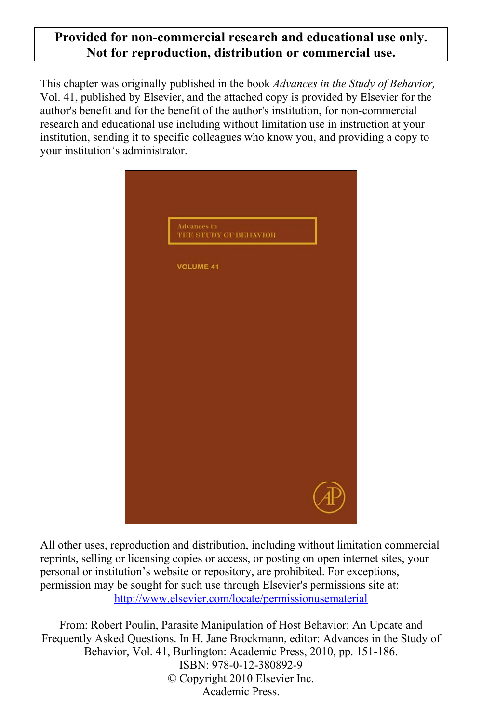# **Provided for non-commercial research and educational use only. Not for reproduction, distribution or commercial use.**

This chapter was originally published in the book *Advances in the Study of Behavior,*  Vol. 41, published by Elsevier, and the attached copy is provided by Elsevier for the author's benefit and for the benefit of the author's institution, for non-commercial research and educational use including without limitation use in instruction at your institution, sending it to specific colleagues who know you, and providing a copy to your institution's administrator.



All other uses, reproduction and distribution, including without limitation commercial reprints, selling or licensing copies or access, or posting on open internet sites, your personal or institution's website or repository, are prohibited. For exceptions, permission may be sought for such use through Elsevier's permissions site at: http://www.elsevier.com/locate/permissionusematerial

From: Robert Poulin, Parasite Manipulation of Host Behavior: An Update and Frequently Asked Questions. In H. Jane Brockmann, editor: Advances in the Study of Behavior, Vol. 41, Burlington: Academic Press, 2010, pp. 151-186. ISBN: 978-0-12-380892-9 © Copyright 2010 Elsevier Inc. Academic Press.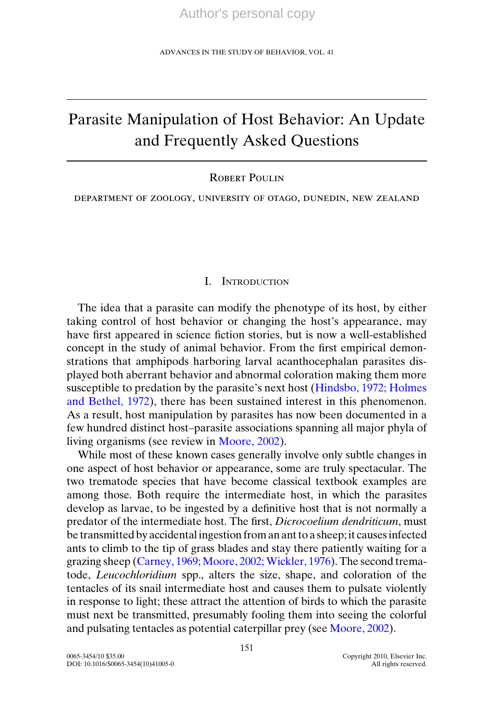# Parasite Manipulation of Host Behavior: An Update and Frequently Asked Questions

#### ROBERT POULIN

department of zoology, university of otago, dunedin, new zealand

#### I. INTRODUCTION

The idea that a parasite can modify the phenotype of its host, by either taking control of host behavior or changing the host's appearance, may have first appeared in science fiction stories, but is now a well-established concept in the study of animal behavior. From the first empirical demonstrations that amphipods harboring larval acanthocephalan parasites displayed both aberrant behavior and abnormal coloration making them more susceptible to predation by the parasite's next host [\(Hindsbo, 1972; Holmes](#page-32-0) [and Bethel, 1972](#page-32-0)), there has been sustained interest in this phenomenon. As a result, host manipulation by parasites has now been documented in a few hundred distinct host–parasite associations spanning all major phyla of living organisms (see review in [Moore, 2002\)](#page-34-0).

While most of these known cases generally involve only subtle changes in one aspect of host behavior or appearance, some are truly spectacular. The two trematode species that have become classical textbook examples are among those. Both require the intermediate host, in which the parasites develop as larvae, to be ingested by a definitive host that is not normally a predator of the intermediate host. The first, Dicrocoelium dendriticum, must be transmitted by accidental ingestion from an ant to a sheep; it causes infected ants to climb to the tip of grass blades and stay there patiently waiting for a grazing sheep ([Carney, 1969; Moore, 2002; Wickler, 1976](#page-32-0)). The second trematode, Leucochloridium spp., alters the size, shape, and coloration of the tentacles of its snail intermediate host and causes them to pulsate violently in response to light; these attract the attention of birds to which the parasite must next be transmitted, presumably fooling them into seeing the colorful and pulsating tentacles as potential caterpillar prey (see [Moore, 2002\)](#page-34-0).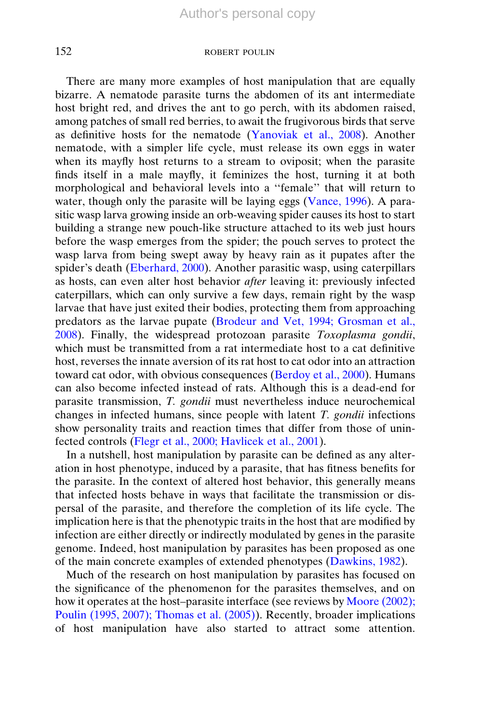There are many more examples of host manipulation that are equally bizarre. A nematode parasite turns the abdomen of its ant intermediate host bright red, and drives the ant to go perch, with its abdomen raised, among patches of small red berries, to await the frugivorous birds that serve as definitive hosts for the nematode [\(Yanoviak et al., 2008\)](#page-36-0). Another nematode, with a simpler life cycle, must release its own eggs in water when its mayfly host returns to a stream to oviposit; when the parasite finds itself in a male mayfly, it feminizes the host, turning it at both morphological and behavioral levels into a ''female'' that will return to water, though only the parasite will be laying eggs ([Vance, 1996\)](#page-36-0). A parasitic wasp larva growing inside an orb-weaving spider causes its host to start building a strange new pouch-like structure attached to its web just hours before the wasp emerges from the spider; the pouch serves to protect the wasp larva from being swept away by heavy rain as it pupates after the spider's death [\(Eberhard, 2000](#page-32-0)). Another parasitic wasp, using caterpillars as hosts, can even alter host behavior after leaving it: previously infected caterpillars, which can only survive a few days, remain right by the wasp larvae that have just exited their bodies, protecting them from approaching predators as the larvae pupate ([Brodeur and Vet, 1994; Grosman et al.,](#page-31-0) [2008](#page-31-0)). Finally, the widespread protozoan parasite Toxoplasma gondii, which must be transmitted from a rat intermediate host to a cat definitive host, reverses the innate aversion of its rat host to cat odor into an attraction toward cat odor, with obvious consequences [\(Berdoy et al., 2000\)](#page-31-0). Humans can also become infected instead of rats. Although this is a dead-end for parasite transmission, T. gondii must nevertheless induce neurochemical changes in infected humans, since people with latent T. gondii infections show personality traits and reaction times that differ from those of uninfected controls [\(Flegr et al., 2000; Havlicek et al., 2001](#page-32-0)).

In a nutshell, host manipulation by parasite can be defined as any alteration in host phenotype, induced by a parasite, that has fitness benefits for the parasite. In the context of altered host behavior, this generally means that infected hosts behave in ways that facilitate the transmission or dispersal of the parasite, and therefore the completion of its life cycle. The implication here is that the phenotypic traits in the host that are modified by infection are either directly or indirectly modulated by genes in the parasite genome. Indeed, host manipulation by parasites has been proposed as one of the main concrete examples of extended phenotypes ([Dawkins, 1982](#page-32-0)).

Much of the research on host manipulation by parasites has focused on the significance of the phenomenon for the parasites themselves, and on how it operates at the host–parasite interface (see reviews by [Moore \(2002\);](#page-34-0) [Poulin \(1995, 2007\); Thomas et al. \(2005\)\)](#page-34-0). Recently, broader implications of host manipulation have also started to attract some attention.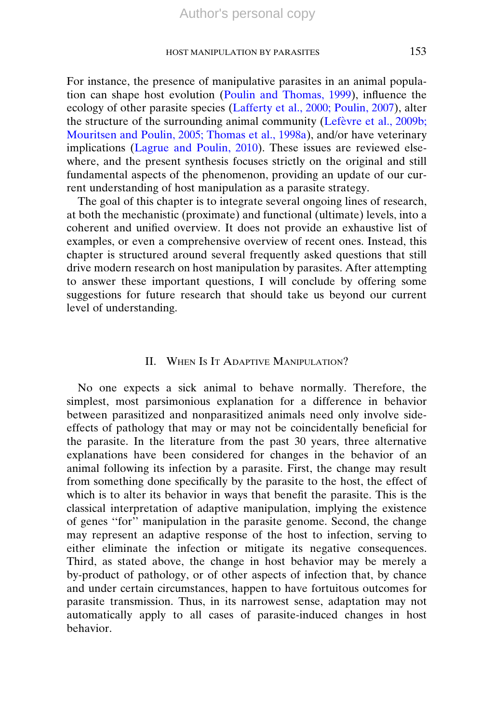For instance, the presence of manipulative parasites in an animal population can shape host evolution ([Poulin and Thomas, 1999\)](#page-35-0), influence the ecology of other parasite species ([Lafferty et al., 2000; Poulin, 2007](#page-33-0)), alter the structure of the surrounding animal community (Lefèvre et al., 2009b; [Mouritsen and Poulin, 2005; Thomas et al., 1998a\)](#page-33-0), and/or have veterinary implications ([Lagrue and Poulin, 2010](#page-33-0)). These issues are reviewed elsewhere, and the present synthesis focuses strictly on the original and still fundamental aspects of the phenomenon, providing an update of our current understanding of host manipulation as a parasite strategy.

The goal of this chapter is to integrate several ongoing lines of research, at both the mechanistic (proximate) and functional (ultimate) levels, into a coherent and unified overview. It does not provide an exhaustive list of examples, or even a comprehensive overview of recent ones. Instead, this chapter is structured around several frequently asked questions that still drive modern research on host manipulation by parasites. After attempting to answer these important questions, I will conclude by offering some suggestions for future research that should take us beyond our current level of understanding.

### II. WHEN IS IT ADAPTIVE MANIPULATION?

No one expects a sick animal to behave normally. Therefore, the simplest, most parsimonious explanation for a difference in behavior between parasitized and nonparasitized animals need only involve sideeffects of pathology that may or may not be coincidentally beneficial for the parasite. In the literature from the past 30 years, three alternative explanations have been considered for changes in the behavior of an animal following its infection by a parasite. First, the change may result from something done specifically by the parasite to the host, the effect of which is to alter its behavior in ways that benefit the parasite. This is the classical interpretation of adaptive manipulation, implying the existence of genes ''for'' manipulation in the parasite genome. Second, the change may represent an adaptive response of the host to infection, serving to either eliminate the infection or mitigate its negative consequences. Third, as stated above, the change in host behavior may be merely a by-product of pathology, or of other aspects of infection that, by chance and under certain circumstances, happen to have fortuitous outcomes for parasite transmission. Thus, in its narrowest sense, adaptation may not automatically apply to all cases of parasite-induced changes in host behavior.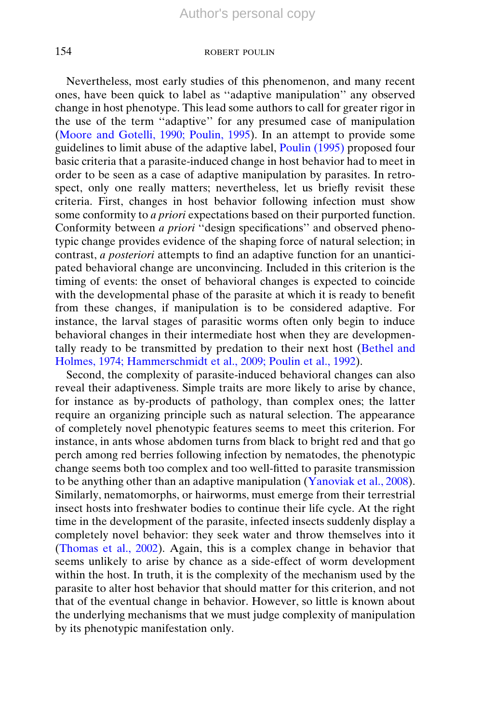Nevertheless, most early studies of this phenomenon, and many recent ones, have been quick to label as ''adaptive manipulation'' any observed change in host phenotype. This lead some authors to call for greater rigor in the use of the term ''adaptive'' for any presumed case of manipulation [\(Moore and Gotelli, 1990; Poulin, 1995](#page-34-0)). In an attempt to provide some guidelines to limit abuse of the adaptive label, [Poulin \(1995\)](#page-34-0) proposed four basic criteria that a parasite-induced change in host behavior had to meet in order to be seen as a case of adaptive manipulation by parasites. In retrospect, only one really matters; nevertheless, let us briefly revisit these criteria. First, changes in host behavior following infection must show some conformity to a priori expectations based on their purported function. Conformity between a priori ''design specifications'' and observed phenotypic change provides evidence of the shaping force of natural selection; in contrast, a posteriori attempts to find an adaptive function for an unanticipated behavioral change are unconvincing. Included in this criterion is the timing of events: the onset of behavioral changes is expected to coincide with the developmental phase of the parasite at which it is ready to benefit from these changes, if manipulation is to be considered adaptive. For instance, the larval stages of parasitic worms often only begin to induce behavioral changes in their intermediate host when they are developmentally ready to be transmitted by predation to their next host ([Bethel and](#page-31-0) [Holmes, 1974; Hammerschmidt et al., 2009; Poulin et al., 1992\)](#page-31-0).

Second, the complexity of parasite-induced behavioral changes can also reveal their adaptiveness. Simple traits are more likely to arise by chance, for instance as by-products of pathology, than complex ones; the latter require an organizing principle such as natural selection. The appearance of completely novel phenotypic features seems to meet this criterion. For instance, in ants whose abdomen turns from black to bright red and that go perch among red berries following infection by nematodes, the phenotypic change seems both too complex and too well-fitted to parasite transmission to be anything other than an adaptive manipulation ([Yanoviak et al., 2008\)](#page-36-0). Similarly, nematomorphs, or hairworms, must emerge from their terrestrial insect hosts into freshwater bodies to continue their life cycle. At the right time in the development of the parasite, infected insects suddenly display a completely novel behavior: they seek water and throw themselves into it [\(Thomas et al., 2002\)](#page-36-0). Again, this is a complex change in behavior that seems unlikely to arise by chance as a side-effect of worm development within the host. In truth, it is the complexity of the mechanism used by the parasite to alter host behavior that should matter for this criterion, and not that of the eventual change in behavior. However, so little is known about the underlying mechanisms that we must judge complexity of manipulation by its phenotypic manifestation only.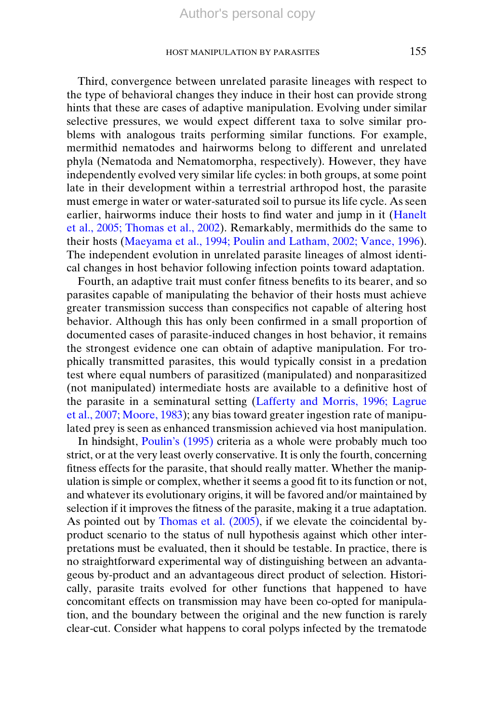Third, convergence between unrelated parasite lineages with respect to the type of behavioral changes they induce in their host can provide strong hints that these are cases of adaptive manipulation. Evolving under similar selective pressures, we would expect different taxa to solve similar problems with analogous traits performing similar functions. For example, mermithid nematodes and hairworms belong to different and unrelated phyla (Nematoda and Nematomorpha, respectively). However, they have independently evolved very similar life cycles: in both groups, at some point late in their development within a terrestrial arthropod host, the parasite must emerge in water or water-saturated soil to pursue its life cycle. As seen earlier, hairworms induce their hosts to find water and jump in it ([Hanelt](#page-32-0) [et al., 2005; Thomas et al., 2002](#page-32-0)). Remarkably, mermithids do the same to their hosts ([Maeyama et al., 1994; Poulin and Latham, 2002; Vance, 1996](#page-33-0)). The independent evolution in unrelated parasite lineages of almost identical changes in host behavior following infection points toward adaptation.

Fourth, an adaptive trait must confer fitness benefits to its bearer, and so parasites capable of manipulating the behavior of their hosts must achieve greater transmission success than conspecifics not capable of altering host behavior. Although this has only been confirmed in a small proportion of documented cases of parasite-induced changes in host behavior, it remains the strongest evidence one can obtain of adaptive manipulation. For trophically transmitted parasites, this would typically consist in a predation test where equal numbers of parasitized (manipulated) and nonparasitized (not manipulated) intermediate hosts are available to a definitive host of the parasite in a seminatural setting [\(Lafferty and Morris, 1996; Lagrue](#page-33-0) [et al., 2007; Moore, 1983\)](#page-33-0); any bias toward greater ingestion rate of manipulated prey is seen as enhanced transmission achieved via host manipulation.

In hindsight, [Poulin's \(1995\)](#page-34-0) criteria as a whole were probably much too strict, or at the very least overly conservative. It is only the fourth, concerning fitness effects for the parasite, that should really matter. Whether the manipulation is simple or complex, whether it seems a good fit to its function or not, and whatever its evolutionary origins, it will be favored and/or maintained by selection if it improves the fitness of the parasite, making it a true adaptation. As pointed out by [Thomas et al. \(2005\)](#page-36-0), if we elevate the coincidental byproduct scenario to the status of null hypothesis against which other interpretations must be evaluated, then it should be testable. In practice, there is no straightforward experimental way of distinguishing between an advantageous by-product and an advantageous direct product of selection. Historically, parasite traits evolved for other functions that happened to have concomitant effects on transmission may have been co-opted for manipulation, and the boundary between the original and the new function is rarely clear-cut. Consider what happens to coral polyps infected by the trematode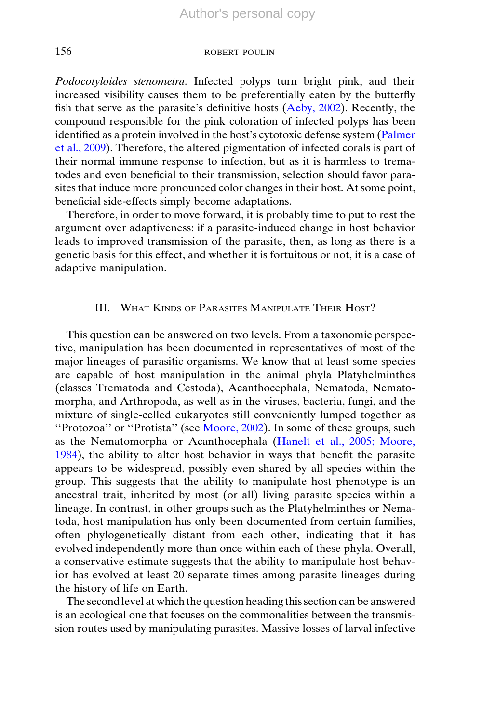Podocotyloides stenometra. Infected polyps turn bright pink, and their increased visibility causes them to be preferentially eaten by the butterfly fish that serve as the parasite's definitive hosts ([Aeby, 2002](#page-31-0)). Recently, the compound responsible for the pink coloration of infected polyps has been identified as a protein involved in the host's cytotoxic defense system ([Palmer](#page-34-0) [et al., 2009\)](#page-34-0). Therefore, the altered pigmentation of infected corals is part of their normal immune response to infection, but as it is harmless to trematodes and even beneficial to their transmission, selection should favor parasites that induce more pronounced color changes in their host. At some point, beneficial side-effects simply become adaptations.

Therefore, in order to move forward, it is probably time to put to rest the argument over adaptiveness: if a parasite-induced change in host behavior leads to improved transmission of the parasite, then, as long as there is a genetic basis for this effect, and whether it is fortuitous or not, it is a case of adaptive manipulation.

#### III. WHAT KINDS OF PARASITES MANIPULATE THEIR HOST?

This question can be answered on two levels. From a taxonomic perspective, manipulation has been documented in representatives of most of the major lineages of parasitic organisms. We know that at least some species are capable of host manipulation in the animal phyla Platyhelminthes (classes Trematoda and Cestoda), Acanthocephala, Nematoda, Nematomorpha, and Arthropoda, as well as in the viruses, bacteria, fungi, and the mixture of single-celled eukaryotes still conveniently lumped together as "Protozoa" or "Protista" (see [Moore, 2002](#page-34-0)). In some of these groups, such as the Nematomorpha or Acanthocephala [\(Hanelt et al., 2005; Moore,](#page-32-0) [1984](#page-32-0)), the ability to alter host behavior in ways that benefit the parasite appears to be widespread, possibly even shared by all species within the group. This suggests that the ability to manipulate host phenotype is an ancestral trait, inherited by most (or all) living parasite species within a lineage. In contrast, in other groups such as the Platyhelminthes or Nematoda, host manipulation has only been documented from certain families, often phylogenetically distant from each other, indicating that it has evolved independently more than once within each of these phyla. Overall, a conservative estimate suggests that the ability to manipulate host behavior has evolved at least 20 separate times among parasite lineages during the history of life on Earth.

The second level at which the question heading this section can be answered is an ecological one that focuses on the commonalities between the transmission routes used by manipulating parasites. Massive losses of larval infective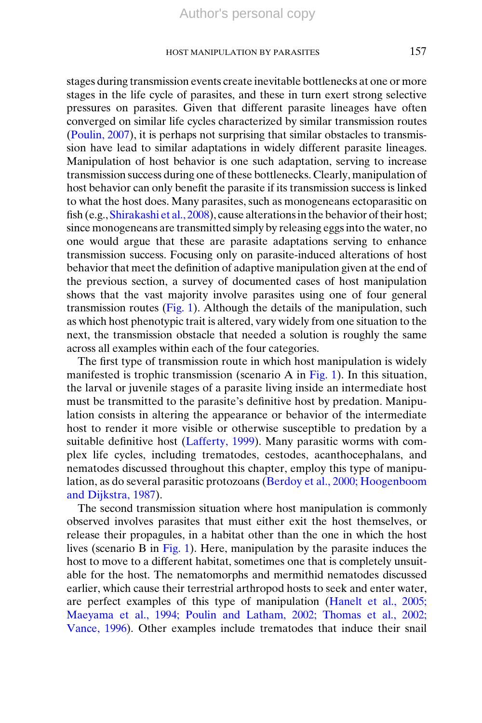stages during transmission events create inevitable bottlenecks at one or more stages in the life cycle of parasites, and these in turn exert strong selective pressures on parasites. Given that different parasite lineages have often converged on similar life cycles characterized by similar transmission routes [\(Poulin, 2007\)](#page-34-0), it is perhaps not surprising that similar obstacles to transmission have lead to similar adaptations in widely different parasite lineages. Manipulation of host behavior is one such adaptation, serving to increase transmission success during one of these bottlenecks. Clearly, manipulation of host behavior can only benefit the parasite if its transmission success is linked to what the host does. Many parasites, such as monogeneans ectoparasitic on fish (e.g.,[Shirakashi et al., 2008](#page-35-0)), cause alterations in the behavior of their host; since monogeneans are transmitted simply by releasing eggs into the water, no one would argue that these are parasite adaptations serving to enhance transmission success. Focusing only on parasite-induced alterations of host behavior that meet the definition of adaptive manipulation given at the end of the previous section, a survey of documented cases of host manipulation shows that the vast majority involve parasites using one of four general transmission routes [\(Fig. 1](#page-8-0)). Although the details of the manipulation, such as which host phenotypic trait is altered, vary widely from one situation to the next, the transmission obstacle that needed a solution is roughly the same across all examples within each of the four categories.

The first type of transmission route in which host manipulation is widely manifested is trophic transmission (scenario A in [Fig. 1\)](#page-8-0). In this situation, the larval or juvenile stages of a parasite living inside an intermediate host must be transmitted to the parasite's definitive host by predation. Manipulation consists in altering the appearance or behavior of the intermediate host to render it more visible or otherwise susceptible to predation by a suitable definitive host ([Lafferty, 1999](#page-33-0)). Many parasitic worms with complex life cycles, including trematodes, cestodes, acanthocephalans, and nematodes discussed throughout this chapter, employ this type of manipulation, as do several parasitic protozoans ([Berdoy et al., 2000; Hoogenboom](#page-31-0) [and Dijkstra, 1987](#page-31-0)).

The second transmission situation where host manipulation is commonly observed involves parasites that must either exit the host themselves, or release their propagules, in a habitat other than the one in which the host lives (scenario B in [Fig. 1\)](#page-8-0). Here, manipulation by the parasite induces the host to move to a different habitat, sometimes one that is completely unsuitable for the host. The nematomorphs and mermithid nematodes discussed earlier, which cause their terrestrial arthropod hosts to seek and enter water, are perfect examples of this type of manipulation [\(Hanelt et al., 2005;](#page-32-0) [Maeyama et al., 1994; Poulin and Latham, 2002; Thomas et al., 2002;](#page-32-0) [Vance, 1996](#page-32-0)). Other examples include trematodes that induce their snail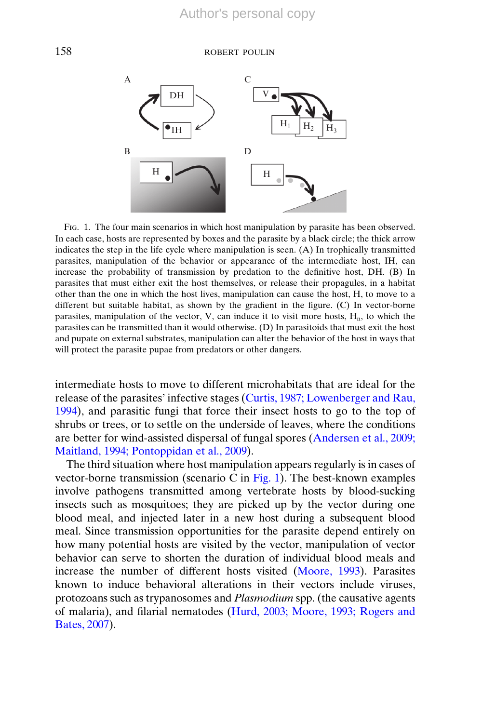<span id="page-8-0"></span>

Fig. 1. The four main scenarios in which host manipulation by parasite has been observed. In each case, hosts are represented by boxes and the parasite by a black circle; the thick arrow indicates the step in the life cycle where manipulation is seen. (A) In trophically transmitted parasites, manipulation of the behavior or appearance of the intermediate host, IH, can increase the probability of transmission by predation to the definitive host, DH. (B) In parasites that must either exit the host themselves, or release their propagules, in a habitat other than the one in which the host lives, manipulation can cause the host, H, to move to a different but suitable habitat, as shown by the gradient in the figure. (C) In vector-borne parasites, manipulation of the vector, V, can induce it to visit more hosts,  $H_n$ , to which the parasites can be transmitted than it would otherwise. (D) In parasitoids that must exit the host and pupate on external substrates, manipulation can alter the behavior of the host in ways that will protect the parasite pupae from predators or other dangers.

intermediate hosts to move to different microhabitats that are ideal for the release of the parasites' infective stages [\(Curtis, 1987; Lowenberger and Rau,](#page-32-0) [1994\)](#page-32-0), and parasitic fungi that force their insect hosts to go to the top of shrubs or trees, or to settle on the underside of leaves, where the conditions are better for wind-assisted dispersal of fungal spores [\(Andersen et al., 2009;](#page-31-0) [Maitland, 1994; Pontoppidan et al., 2009](#page-31-0)).

The third situation where host manipulation appears regularly is in cases of vector-borne transmission (scenario C in Fig. 1). The best-known examples involve pathogens transmitted among vertebrate hosts by blood-sucking insects such as mosquitoes; they are picked up by the vector during one blood meal, and injected later in a new host during a subsequent blood meal. Since transmission opportunities for the parasite depend entirely on how many potential hosts are visited by the vector, manipulation of vector behavior can serve to shorten the duration of individual blood meals and increase the number of different hosts visited ([Moore, 1993\)](#page-34-0). Parasites known to induce behavioral alterations in their vectors include viruses, protozoans such as trypanosomes and Plasmodium spp. (the causative agents of malaria), and filarial nematodes [\(Hurd, 2003; Moore, 1993; Rogers and](#page-32-0) [Bates, 2007\)](#page-32-0).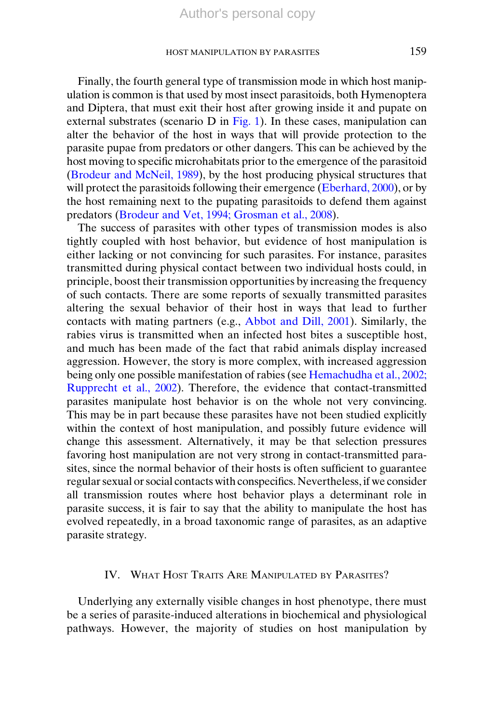Finally, the fourth general type of transmission mode in which host manipulation is common is that used by most insect parasitoids, both Hymenoptera and Diptera, that must exit their host after growing inside it and pupate on external substrates (scenario  $D$  in [Fig. 1](#page-8-0)). In these cases, manipulation can alter the behavior of the host in ways that will provide protection to the parasite pupae from predators or other dangers. This can be achieved by the host moving to specific microhabitats prior to the emergence of the parasitoid [\(Brodeur and McNeil, 1989\)](#page-31-0), by the host producing physical structures that will protect the parasitoids following their emergence [\(Eberhard, 2000\)](#page-32-0), or by the host remaining next to the pupating parasitoids to defend them against predators ([Brodeur and Vet, 1994; Grosman et al., 2008\)](#page-31-0).

The success of parasites with other types of transmission modes is also tightly coupled with host behavior, but evidence of host manipulation is either lacking or not convincing for such parasites. For instance, parasites transmitted during physical contact between two individual hosts could, in principle, boost their transmission opportunities by increasing the frequency of such contacts. There are some reports of sexually transmitted parasites altering the sexual behavior of their host in ways that lead to further contacts with mating partners (e.g., [Abbot and Dill, 2001\)](#page-31-0). Similarly, the rabies virus is transmitted when an infected host bites a susceptible host, and much has been made of the fact that rabid animals display increased aggression. However, the story is more complex, with increased aggression being only one possible manifestation of rabies (see [Hemachudha et al., 2002;](#page-32-0) [Rupprecht et al., 2002\)](#page-32-0). Therefore, the evidence that contact-transmitted parasites manipulate host behavior is on the whole not very convincing. This may be in part because these parasites have not been studied explicitly within the context of host manipulation, and possibly future evidence will change this assessment. Alternatively, it may be that selection pressures favoring host manipulation are not very strong in contact-transmitted parasites, since the normal behavior of their hosts is often sufficient to guarantee regular sexual or social contacts with conspecifics. Nevertheless, if we consider all transmission routes where host behavior plays a determinant role in parasite success, it is fair to say that the ability to manipulate the host has evolved repeatedly, in a broad taxonomic range of parasites, as an adaptive parasite strategy.

#### IV. WHAT HOST TRAITS ARE MANIPULATED BY PARASITES?

Underlying any externally visible changes in host phenotype, there must be a series of parasite-induced alterations in biochemical and physiological pathways. However, the majority of studies on host manipulation by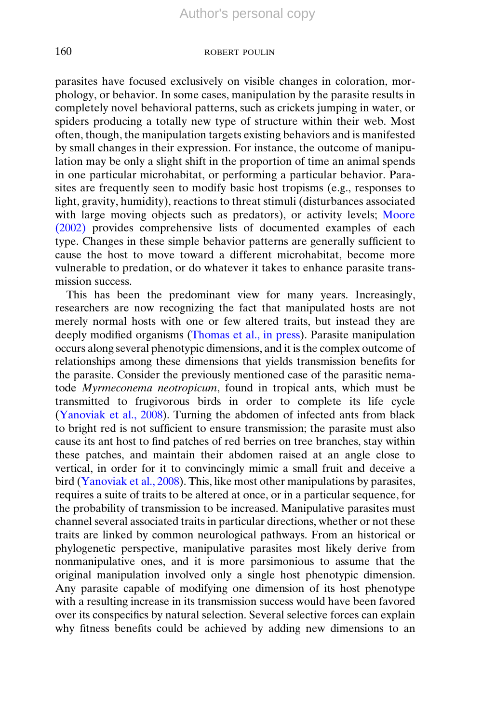parasites have focused exclusively on visible changes in coloration, morphology, or behavior. In some cases, manipulation by the parasite results in completely novel behavioral patterns, such as crickets jumping in water, or spiders producing a totally new type of structure within their web. Most often, though, the manipulation targets existing behaviors and is manifested by small changes in their expression. For instance, the outcome of manipulation may be only a slight shift in the proportion of time an animal spends in one particular microhabitat, or performing a particular behavior. Parasites are frequently seen to modify basic host tropisms (e.g., responses to light, gravity, humidity), reactions to threat stimuli (disturbances associated with large moving objects such as predators), or activity levels; [Moore](#page-34-0) [\(2002\)](#page-34-0) provides comprehensive lists of documented examples of each type. Changes in these simple behavior patterns are generally sufficient to cause the host to move toward a different microhabitat, become more vulnerable to predation, or do whatever it takes to enhance parasite transmission success.

This has been the predominant view for many years. Increasingly, researchers are now recognizing the fact that manipulated hosts are not merely normal hosts with one or few altered traits, but instead they are deeply modified organisms [\(Thomas et al., in press\)](#page-36-0). Parasite manipulation occurs along several phenotypic dimensions, and it is the complex outcome of relationships among these dimensions that yields transmission benefits for the parasite. Consider the previously mentioned case of the parasitic nematode Myrmeconema neotropicum, found in tropical ants, which must be transmitted to frugivorous birds in order to complete its life cycle [\(Yanoviak et al., 2008\)](#page-36-0). Turning the abdomen of infected ants from black to bright red is not sufficient to ensure transmission; the parasite must also cause its ant host to find patches of red berries on tree branches, stay within these patches, and maintain their abdomen raised at an angle close to vertical, in order for it to convincingly mimic a small fruit and deceive a bird ([Yanoviak et al., 2008\)](#page-36-0). This, like most other manipulations by parasites, requires a suite of traits to be altered at once, or in a particular sequence, for the probability of transmission to be increased. Manipulative parasites must channel several associated traits in particular directions, whether or not these traits are linked by common neurological pathways. From an historical or phylogenetic perspective, manipulative parasites most likely derive from nonmanipulative ones, and it is more parsimonious to assume that the original manipulation involved only a single host phenotypic dimension. Any parasite capable of modifying one dimension of its host phenotype with a resulting increase in its transmission success would have been favored over its conspecifics by natural selection. Several selective forces can explain why fitness benefits could be achieved by adding new dimensions to an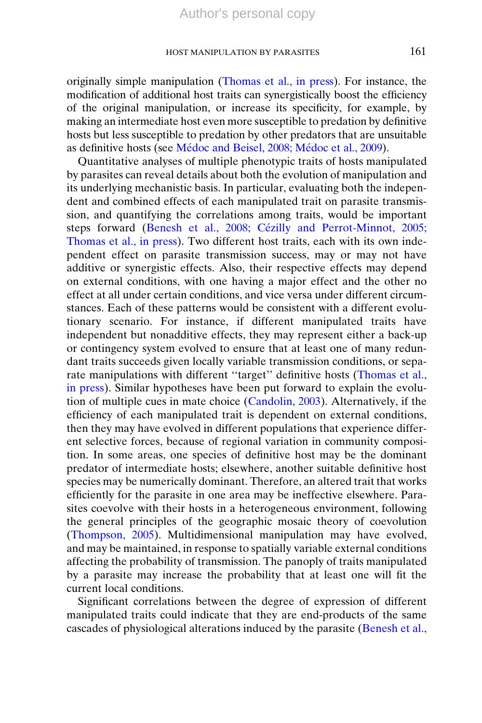originally simple manipulation [\(Thomas et al., in press\)](#page-36-0). For instance, the modification of additional host traits can synergistically boost the efficiency of the original manipulation, or increase its specificity, for example, by making an intermediate host even more susceptible to predation by definitive hosts but less susceptible to predation by other predators that are unsuitable as definitive hosts (see Médoc and Beisel, 2008; Médoc et al., 2009).

Quantitative analyses of multiple phenotypic traits of hosts manipulated by parasites can reveal details about both the evolution of manipulation and its underlying mechanistic basis. In particular, evaluating both the independent and combined effects of each manipulated trait on parasite transmission, and quantifying the correlations among traits, would be important steps forward (Benesh et al., 2008; Cézilly and Perrot-Minnot, 2005; [Thomas et al., in press\)](#page-31-0). Two different host traits, each with its own independent effect on parasite transmission success, may or may not have additive or synergistic effects. Also, their respective effects may depend on external conditions, with one having a major effect and the other no effect at all under certain conditions, and vice versa under different circumstances. Each of these patterns would be consistent with a different evolutionary scenario. For instance, if different manipulated traits have independent but nonadditive effects, they may represent either a back-up or contingency system evolved to ensure that at least one of many redundant traits succeeds given locally variable transmission conditions, or separate manipulations with different ''target'' definitive hosts [\(Thomas et al.,](#page-36-0) [in press](#page-36-0)). Similar hypotheses have been put forward to explain the evolution of multiple cues in mate choice [\(Candolin, 2003](#page-32-0)). Alternatively, if the efficiency of each manipulated trait is dependent on external conditions, then they may have evolved in different populations that experience different selective forces, because of regional variation in community composition. In some areas, one species of definitive host may be the dominant predator of intermediate hosts; elsewhere, another suitable definitive host species may be numerically dominant. Therefore, an altered trait that works efficiently for the parasite in one area may be ineffective elsewhere. Parasites coevolve with their hosts in a heterogeneous environment, following the general principles of the geographic mosaic theory of coevolution ([Thompson, 2005](#page-36-0)). Multidimensional manipulation may have evolved, and may be maintained, in response to spatially variable external conditions affecting the probability of transmission. The panoply of traits manipulated by a parasite may increase the probability that at least one will fit the current local conditions.

Significant correlations between the degree of expression of different manipulated traits could indicate that they are end-products of the same cascades of physiological alterations induced by the parasite ([Benesh et al.,](#page-31-0)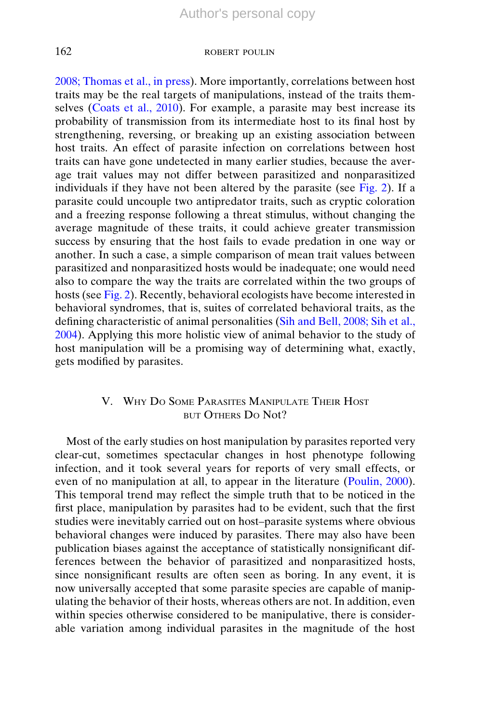[2008; Thomas et al., in press](#page-31-0)). More importantly, correlations between host traits may be the real targets of manipulations, instead of the traits themselves ([Coats et al., 2010\)](#page-32-0). For example, a parasite may best increase its probability of transmission from its intermediate host to its final host by strengthening, reversing, or breaking up an existing association between host traits. An effect of parasite infection on correlations between host traits can have gone undetected in many earlier studies, because the average trait values may not differ between parasitized and nonparasitized individuals if they have not been altered by the parasite (see [Fig. 2\)](#page-13-0). If a parasite could uncouple two antipredator traits, such as cryptic coloration and a freezing response following a threat stimulus, without changing the average magnitude of these traits, it could achieve greater transmission success by ensuring that the host fails to evade predation in one way or another. In such a case, a simple comparison of mean trait values between parasitized and nonparasitized hosts would be inadequate; one would need also to compare the way the traits are correlated within the two groups of hosts (see [Fig. 2\)](#page-13-0). Recently, behavioral ecologists have become interested in behavioral syndromes, that is, suites of correlated behavioral traits, as the defining characteristic of animal personalities ([Sih and Bell, 2008; Sih et al.,](#page-35-0) [2004](#page-35-0)). Applying this more holistic view of animal behavior to the study of host manipulation will be a promising way of determining what, exactly, gets modified by parasites.

## V. WHY DO SOME PARASITES MANIPULATE THEIR HOST BUT OTHERS DO Not?

Most of the early studies on host manipulation by parasites reported very clear-cut, sometimes spectacular changes in host phenotype following infection, and it took several years for reports of very small effects, or even of no manipulation at all, to appear in the literature ([Poulin, 2000\)](#page-34-0). This temporal trend may reflect the simple truth that to be noticed in the first place, manipulation by parasites had to be evident, such that the first studies were inevitably carried out on host–parasite systems where obvious behavioral changes were induced by parasites. There may also have been publication biases against the acceptance of statistically nonsignificant differences between the behavior of parasitized and nonparasitized hosts, since nonsignificant results are often seen as boring. In any event, it is now universally accepted that some parasite species are capable of manipulating the behavior of their hosts, whereas others are not. In addition, even within species otherwise considered to be manipulative, there is considerable variation among individual parasites in the magnitude of the host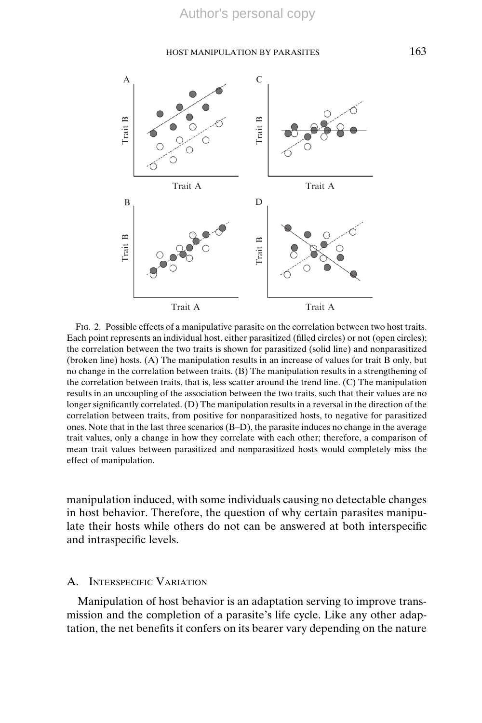<span id="page-13-0"></span>

Fig. 2. Possible effects of a manipulative parasite on the correlation between two host traits. Each point represents an individual host, either parasitized (filled circles) or not (open circles); the correlation between the two traits is shown for parasitized (solid line) and nonparasitized (broken line) hosts. (A) The manipulation results in an increase of values for trait B only, but no change in the correlation between traits. (B) The manipulation results in a strengthening of the correlation between traits, that is, less scatter around the trend line. (C) The manipulation results in an uncoupling of the association between the two traits, such that their values are no longer significantly correlated. (D) The manipulation results in a reversal in the direction of the correlation between traits, from positive for nonparasitized hosts, to negative for parasitized ones. Note that in the last three scenarios (B–D), the parasite induces no change in the average trait values, only a change in how they correlate with each other; therefore, a comparison of mean trait values between parasitized and nonparasitized hosts would completely miss the effect of manipulation.

manipulation induced, with some individuals causing no detectable changes in host behavior. Therefore, the question of why certain parasites manipulate their hosts while others do not can be answered at both interspecific and intraspecific levels.

#### A. INTERSPECIFIC VARIATION

Manipulation of host behavior is an adaptation serving to improve transmission and the completion of a parasite's life cycle. Like any other adaptation, the net benefits it confers on its bearer vary depending on the nature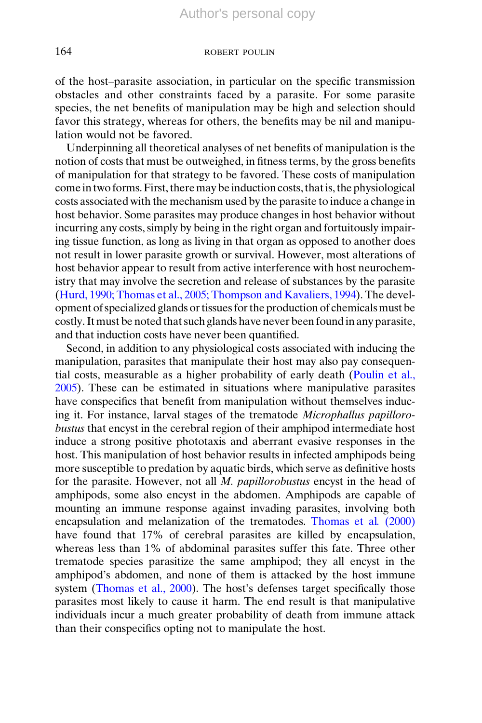of the host–parasite association, in particular on the specific transmission obstacles and other constraints faced by a parasite. For some parasite species, the net benefits of manipulation may be high and selection should favor this strategy, whereas for others, the benefits may be nil and manipulation would not be favored.

Underpinning all theoretical analyses of net benefits of manipulation is the notion of costs that must be outweighed, in fitness terms, by the gross benefits of manipulation for that strategy to be favored. These costs of manipulation come in two forms. First, there may be induction costs, that is, the physiological costs associated with the mechanism used by the parasite to induce a change in host behavior. Some parasites may produce changes in host behavior without incurring any costs, simply by being in the right organ and fortuitously impairing tissue function, as long as living in that organ as opposed to another does not result in lower parasite growth or survival. However, most alterations of host behavior appear to result from active interference with host neurochemistry that may involve the secretion and release of substances by the parasite [\(Hurd, 1990; Thomas et al., 2005; Thompson and Kavaliers, 1994](#page-32-0)). The development of specialized glands or tissues for the production of chemicalsmust be costly. It must be noted that such glands have never been found in any parasite, and that induction costs have never been quantified.

Second, in addition to any physiological costs associated with inducing the manipulation, parasites that manipulate their host may also pay consequential costs, measurable as a higher probability of early death [\(Poulin et al.,](#page-35-0) [2005\)](#page-35-0). These can be estimated in situations where manipulative parasites have conspecifics that benefit from manipulation without themselves inducing it. For instance, larval stages of the trematode Microphallus papillorobustus that encyst in the cerebral region of their amphipod intermediate host induce a strong positive phototaxis and aberrant evasive responses in the host. This manipulation of host behavior results in infected amphipods being more susceptible to predation by aquatic birds, which serve as definitive hosts for the parasite. However, not all M. papillorobustus encyst in the head of amphipods, some also encyst in the abdomen. Amphipods are capable of mounting an immune response against invading parasites, involving both encapsulation and melanization of the trematodes. [Thomas et al](#page-36-0). (2000) have found that 17% of cerebral parasites are killed by encapsulation, whereas less than 1% of abdominal parasites suffer this fate. Three other trematode species parasitize the same amphipod; they all encyst in the amphipod's abdomen, and none of them is attacked by the host immune system ([Thomas et al., 2000\)](#page-36-0). The host's defenses target specifically those parasites most likely to cause it harm. The end result is that manipulative individuals incur a much greater probability of death from immune attack than their conspecifics opting not to manipulate the host.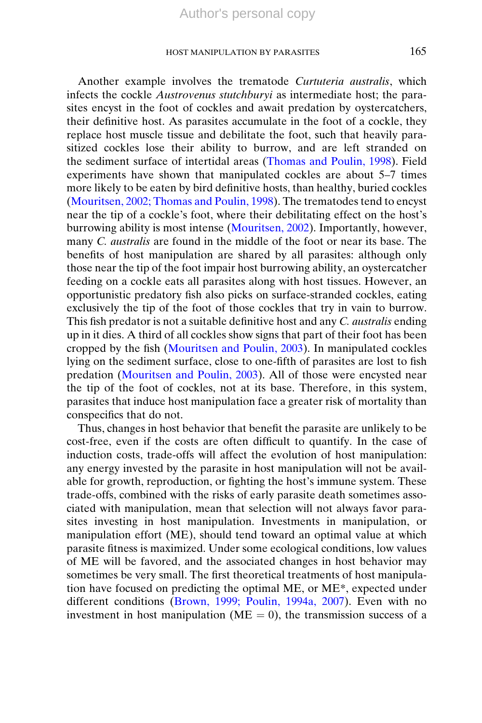Another example involves the trematode Curtuteria australis, which infects the cockle *Austrovenus stutchburyi* as intermediate host; the parasites encyst in the foot of cockles and await predation by oystercatchers, their definitive host. As parasites accumulate in the foot of a cockle, they replace host muscle tissue and debilitate the foot, such that heavily parasitized cockles lose their ability to burrow, and are left stranded on the sediment surface of intertidal areas [\(Thomas and Poulin, 1998\)](#page-35-0). Field experiments have shown that manipulated cockles are about 5–7 times more likely to be eaten by bird definitive hosts, than healthy, buried cockles ([Mouritsen, 2002; Thomas and Poulin, 1998](#page-34-0)). The trematodes tend to encyst near the tip of a cockle's foot, where their debilitating effect on the host's burrowing ability is most intense [\(Mouritsen, 2002](#page-34-0)). Importantly, however, many C. australis are found in the middle of the foot or near its base. The benefits of host manipulation are shared by all parasites: although only those near the tip of the foot impair host burrowing ability, an oystercatcher feeding on a cockle eats all parasites along with host tissues. However, an opportunistic predatory fish also picks on surface-stranded cockles, eating exclusively the tip of the foot of those cockles that try in vain to burrow. This fish predator is not a suitable definitive host and any C. *australis* ending up in it dies. A third of all cockles show signs that part of their foot has been cropped by the fish ([Mouritsen and Poulin, 2003\)](#page-34-0). In manipulated cockles lying on the sediment surface, close to one-fifth of parasites are lost to fish predation [\(Mouritsen and Poulin, 2003](#page-34-0)). All of those were encysted near the tip of the foot of cockles, not at its base. Therefore, in this system, parasites that induce host manipulation face a greater risk of mortality than conspecifics that do not.

Thus, changes in host behavior that benefit the parasite are unlikely to be cost-free, even if the costs are often difficult to quantify. In the case of induction costs, trade-offs will affect the evolution of host manipulation: any energy invested by the parasite in host manipulation will not be available for growth, reproduction, or fighting the host's immune system. These trade-offs, combined with the risks of early parasite death sometimes associated with manipulation, mean that selection will not always favor parasites investing in host manipulation. Investments in manipulation, or manipulation effort (ME), should tend toward an optimal value at which parasite fitness is maximized. Under some ecological conditions, low values of ME will be favored, and the associated changes in host behavior may sometimes be very small. The first theoretical treatments of host manipulation have focused on predicting the optimal ME, or ME\*, expected under different conditions [\(Brown, 1999; Poulin, 1994a, 2007\)](#page-32-0). Even with no investment in host manipulation ( $ME = 0$ ), the transmission success of a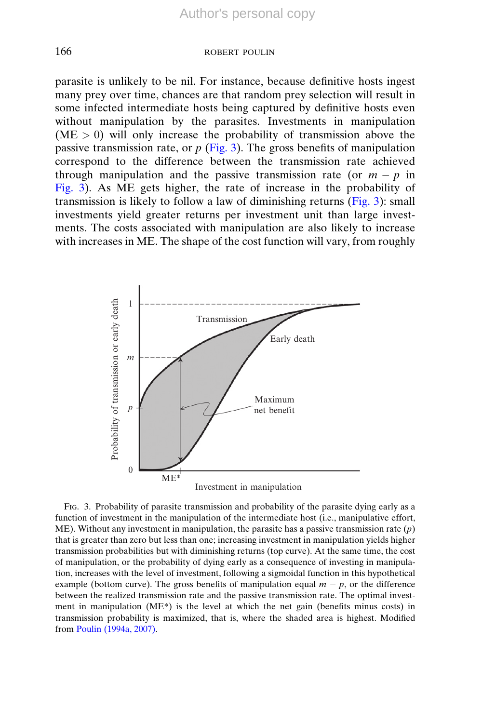<span id="page-16-0"></span>parasite is unlikely to be nil. For instance, because definitive hosts ingest many prey over time, chances are that random prey selection will result in some infected intermediate hosts being captured by definitive hosts even without manipulation by the parasites. Investments in manipulation  $(ME > 0)$  will only increase the probability of transmission above the passive transmission rate, or  $p$  (Fig. 3). The gross benefits of manipulation correspond to the difference between the transmission rate achieved through manipulation and the passive transmission rate (or  $m - p$  in Fig. 3). As ME gets higher, the rate of increase in the probability of transmission is likely to follow a law of diminishing returns (Fig. 3): small investments yield greater returns per investment unit than large investments. The costs associated with manipulation are also likely to increase with increases in ME. The shape of the cost function will vary, from roughly



Fig. 3. Probability of parasite transmission and probability of the parasite dying early as a function of investment in the manipulation of the intermediate host (i.e., manipulative effort, ME). Without any investment in manipulation, the parasite has a passive transmission rate  $(p)$ that is greater than zero but less than one; increasing investment in manipulation yields higher transmission probabilities but with diminishing returns (top curve). At the same time, the cost of manipulation, or the probability of dying early as a consequence of investing in manipulation, increases with the level of investment, following a sigmoidal function in this hypothetical example (bottom curve). The gross benefits of manipulation equal  $m - p$ , or the difference between the realized transmission rate and the passive transmission rate. The optimal investment in manipulation  $(ME^*)$  is the level at which the net gain (benefits minus costs) in transmission probability is maximized, that is, where the shaded area is highest. Modified from [Poulin \(1994a, 2007\)](#page-34-0).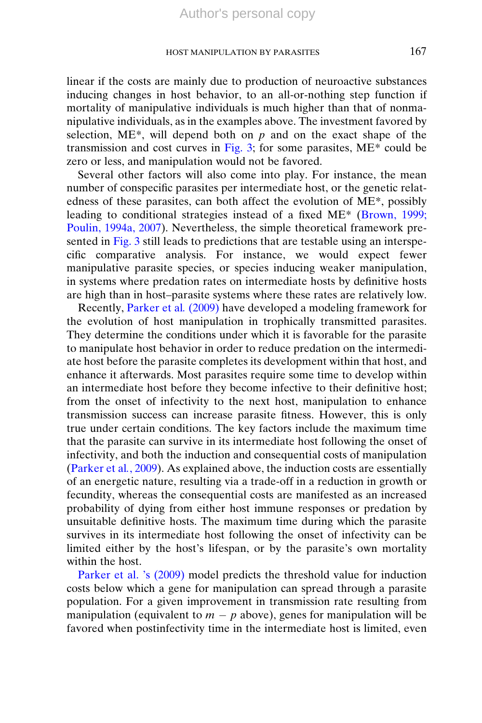linear if the costs are mainly due to production of neuroactive substances inducing changes in host behavior, to an all-or-nothing step function if mortality of manipulative individuals is much higher than that of nonmanipulative individuals, as in the examples above. The investment favored by selection,  $ME^*$ , will depend both on p and on the exact shape of the transmission and cost curves in [Fig. 3](#page-16-0); for some parasites,  $ME^*$  could be zero or less, and manipulation would not be favored.

Several other factors will also come into play. For instance, the mean number of conspecific parasites per intermediate host, or the genetic relatedness of these parasites, can both affect the evolution of ME\*, possibly leading to conditional strategies instead of a fixed ME\* ([Brown, 1999;](#page-32-0) [Poulin, 1994a, 2007](#page-32-0)). Nevertheless, the simple theoretical framework presented in [Fig. 3](#page-16-0) still leads to predictions that are testable using an interspecific comparative analysis. For instance, we would expect fewer manipulative parasite species, or species inducing weaker manipulation, in systems where predation rates on intermediate hosts by definitive hosts are high than in host–parasite systems where these rates are relatively low.

Recently, [Parker et al](#page-34-0). (2009) have developed a modeling framework for the evolution of host manipulation in trophically transmitted parasites. They determine the conditions under which it is favorable for the parasite to manipulate host behavior in order to reduce predation on the intermediate host before the parasite completes its development within that host, and enhance it afterwards. Most parasites require some time to develop within an intermediate host before they become infective to their definitive host; from the onset of infectivity to the next host, manipulation to enhance transmission success can increase parasite fitness. However, this is only true under certain conditions. The key factors include the maximum time that the parasite can survive in its intermediate host following the onset of infectivity, and both the induction and consequential costs of manipulation ([Parker et al](#page-34-0)., 2009). As explained above, the induction costs are essentially of an energetic nature, resulting via a trade-off in a reduction in growth or fecundity, whereas the consequential costs are manifested as an increased probability of dying from either host immune responses or predation by unsuitable definitive hosts. The maximum time during which the parasite survives in its intermediate host following the onset of infectivity can be limited either by the host's lifespan, or by the parasite's own mortality within the host.

[Parker et al. 's \(2009\)](#page-34-0) model predicts the threshold value for induction costs below which a gene for manipulation can spread through a parasite population. For a given improvement in transmission rate resulting from manipulation (equivalent to  $m - p$  above), genes for manipulation will be favored when postinfectivity time in the intermediate host is limited, even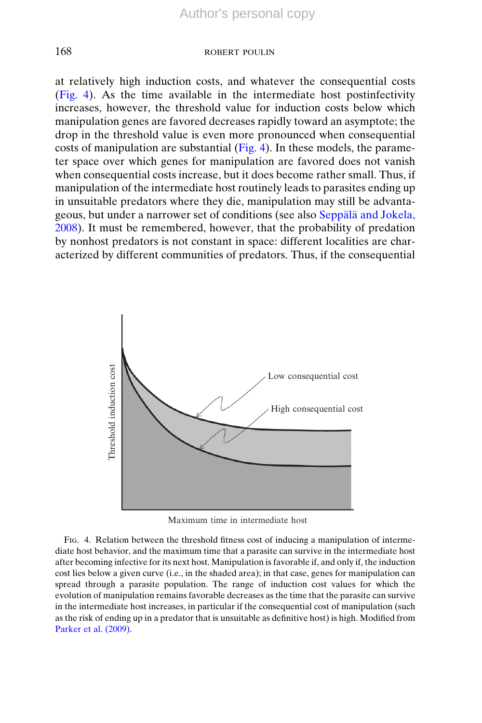at relatively high induction costs, and whatever the consequential costs (Fig. 4). As the time available in the intermediate host postinfectivity increases, however, the threshold value for induction costs below which manipulation genes are favored decreases rapidly toward an asymptote; the drop in the threshold value is even more pronounced when consequential costs of manipulation are substantial (Fig. 4). In these models, the parameter space over which genes for manipulation are favored does not vanish when consequential costs increase, but it does become rather small. Thus, if manipulation of the intermediate host routinely leads to parasites ending up in unsuitable predators where they die, manipulation may still be advantageous, but under a narrower set of conditions (see also Seppala [and Jokela,](#page-35-0) [2008](#page-35-0)). It must be remembered, however, that the probability of predation by nonhost predators is not constant in space: different localities are characterized by different communities of predators. Thus, if the consequential



Maximum time in intermediate host

Fig. 4. Relation between the threshold fitness cost of inducing a manipulation of intermediate host behavior, and the maximum time that a parasite can survive in the intermediate host after becoming infective for its next host. Manipulation is favorable if, and only if, the induction cost lies below a given curve (i.e., in the shaded area); in that case, genes for manipulation can spread through a parasite population. The range of induction cost values for which the evolution of manipulation remains favorable decreases as the time that the parasite can survive in the intermediate host increases, in particular if the consequential cost of manipulation (such as the risk of ending up in a predator that is unsuitable as definitive host) is high. Modified from [Parker et al. \(2009\)](#page-34-0).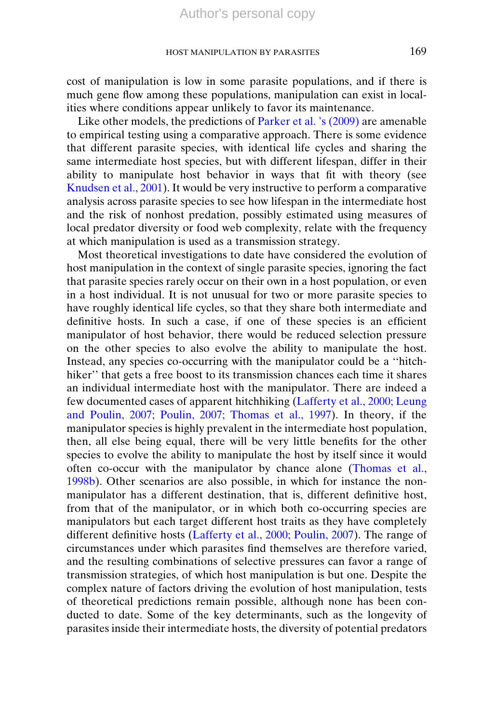cost of manipulation is low in some parasite populations, and if there is much gene flow among these populations, manipulation can exist in localities where conditions appear unlikely to favor its maintenance.

Like other models, the predictions of [Parker et al. 's \(2009\)](#page-34-0) are amenable to empirical testing using a comparative approach. There is some evidence that different parasite species, with identical life cycles and sharing the same intermediate host species, but with different lifespan, differ in their ability to manipulate host behavior in ways that fit with theory (see [Knudsen et al., 2001\)](#page-33-0). It would be very instructive to perform a comparative analysis across parasite species to see how lifespan in the intermediate host and the risk of nonhost predation, possibly estimated using measures of local predator diversity or food web complexity, relate with the frequency at which manipulation is used as a transmission strategy.

Most theoretical investigations to date have considered the evolution of host manipulation in the context of single parasite species, ignoring the fact that parasite species rarely occur on their own in a host population, or even in a host individual. It is not unusual for two or more parasite species to have roughly identical life cycles, so that they share both intermediate and definitive hosts. In such a case, if one of these species is an efficient manipulator of host behavior, there would be reduced selection pressure on the other species to also evolve the ability to manipulate the host. Instead, any species co-occurring with the manipulator could be a ''hitchhiker'' that gets a free boost to its transmission chances each time it shares an individual intermediate host with the manipulator. There are indeed a few documented cases of apparent hitchhiking ([Lafferty et al., 2000; Leung](#page-33-0) [and Poulin, 2007; Poulin, 2007; Thomas et al., 1997\)](#page-33-0). In theory, if the manipulator species is highly prevalent in the intermediate host population, then, all else being equal, there will be very little benefits for the other species to evolve the ability to manipulate the host by itself since it would often co-occur with the manipulator by chance alone ([Thomas et al.,](#page-36-0) [1998b](#page-36-0)). Other scenarios are also possible, in which for instance the nonmanipulator has a different destination, that is, different definitive host, from that of the manipulator, or in which both co-occurring species are manipulators but each target different host traits as they have completely different definitive hosts ([Lafferty et al., 2000; Poulin, 2007](#page-33-0)). The range of circumstances under which parasites find themselves are therefore varied, and the resulting combinations of selective pressures can favor a range of transmission strategies, of which host manipulation is but one. Despite the complex nature of factors driving the evolution of host manipulation, tests of theoretical predictions remain possible, although none has been conducted to date. Some of the key determinants, such as the longevity of parasites inside their intermediate hosts, the diversity of potential predators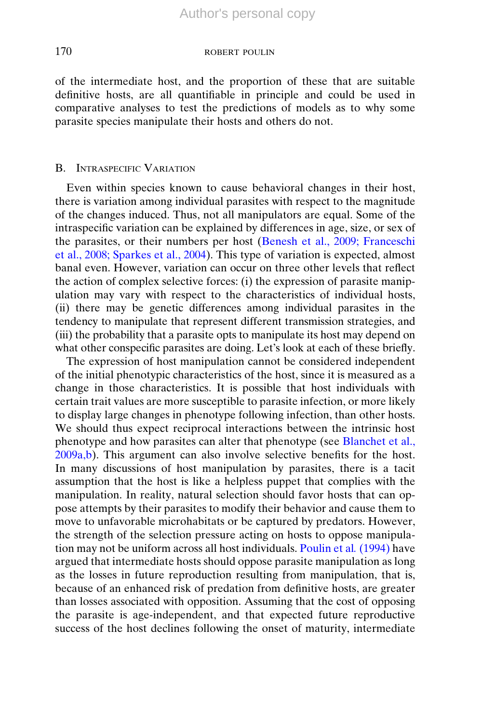of the intermediate host, and the proportion of these that are suitable definitive hosts, are all quantifiable in principle and could be used in comparative analyses to test the predictions of models as to why some parasite species manipulate their hosts and others do not.

#### B. INTRASPECIFIC VARIATION

Even within species known to cause behavioral changes in their host, there is variation among individual parasites with respect to the magnitude of the changes induced. Thus, not all manipulators are equal. Some of the intraspecific variation can be explained by differences in age, size, or sex of the parasites, or their numbers per host ([Benesh et al., 2009; Franceschi](#page-31-0) [et al., 2008; Sparkes et al., 2004\)](#page-31-0). This type of variation is expected, almost banal even. However, variation can occur on three other levels that reflect the action of complex selective forces: (i) the expression of parasite manipulation may vary with respect to the characteristics of individual hosts, (ii) there may be genetic differences among individual parasites in the tendency to manipulate that represent different transmission strategies, and (iii) the probability that a parasite opts to manipulate its host may depend on what other conspecific parasites are doing. Let's look at each of these briefly.

The expression of host manipulation cannot be considered independent of the initial phenotypic characteristics of the host, since it is measured as a change in those characteristics. It is possible that host individuals with certain trait values are more susceptible to parasite infection, or more likely to display large changes in phenotype following infection, than other hosts. We should thus expect reciprocal interactions between the intrinsic host phenotype and how parasites can alter that phenotype (see [Blanchet et al.,](#page-31-0) [2009a,b](#page-31-0)). This argument can also involve selective benefits for the host. In many discussions of host manipulation by parasites, there is a tacit assumption that the host is like a helpless puppet that complies with the manipulation. In reality, natural selection should favor hosts that can oppose attempts by their parasites to modify their behavior and cause them to move to unfavorable microhabitats or be captured by predators. However, the strength of the selection pressure acting on hosts to oppose manipulation may not be uniform across all host individuals. [Poulin et al](#page-35-0). (1994) have argued that intermediate hosts should oppose parasite manipulation as long as the losses in future reproduction resulting from manipulation, that is, because of an enhanced risk of predation from definitive hosts, are greater than losses associated with opposition. Assuming that the cost of opposing the parasite is age-independent, and that expected future reproductive success of the host declines following the onset of maturity, intermediate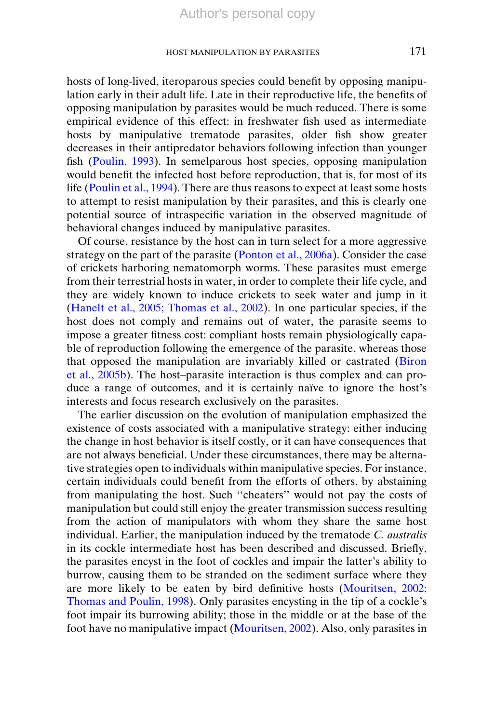hosts of long-lived, iteroparous species could benefit by opposing manipulation early in their adult life. Late in their reproductive life, the benefits of opposing manipulation by parasites would be much reduced. There is some empirical evidence of this effect: in freshwater fish used as intermediate hosts by manipulative trematode parasites, older fish show greater decreases in their antipredator behaviors following infection than younger fish ([Poulin, 1993](#page-34-0)). In semelparous host species, opposing manipulation would benefit the infected host before reproduction, that is, for most of its life ([Poulin et al., 1994](#page-35-0)). There are thus reasons to expect at least some hosts to attempt to resist manipulation by their parasites, and this is clearly one potential source of intraspecific variation in the observed magnitude of behavioral changes induced by manipulative parasites.

Of course, resistance by the host can in turn select for a more aggressive strategy on the part of the parasite ([Ponton et al., 2006a\)](#page-34-0). Consider the case of crickets harboring nematomorph worms. These parasites must emerge from their terrestrial hosts in water, in order to complete their life cycle, and they are widely known to induce crickets to seek water and jump in it ([Hanelt et al., 2005; Thomas et al., 2002](#page-32-0)). In one particular species, if the host does not comply and remains out of water, the parasite seems to impose a greater fitness cost: compliant hosts remain physiologically capable of reproduction following the emergence of the parasite, whereas those that opposed the manipulation are invariably killed or castrated ([Biron](#page-31-0) [et al., 2005b](#page-31-0)). The host–parasite interaction is thus complex and can produce a range of outcomes, and it is certainly naïve to ignore the host's interests and focus research exclusively on the parasites.

The earlier discussion on the evolution of manipulation emphasized the existence of costs associated with a manipulative strategy: either inducing the change in host behavior is itself costly, or it can have consequences that are not always beneficial. Under these circumstances, there may be alternative strategies open to individuals within manipulative species. For instance, certain individuals could benefit from the efforts of others, by abstaining from manipulating the host. Such ''cheaters'' would not pay the costs of manipulation but could still enjoy the greater transmission success resulting from the action of manipulators with whom they share the same host individual. Earlier, the manipulation induced by the trematode  $C$ . *australis* in its cockle intermediate host has been described and discussed. Briefly, the parasites encyst in the foot of cockles and impair the latter's ability to burrow, causing them to be stranded on the sediment surface where they are more likely to be eaten by bird definitive hosts ([Mouritsen, 2002;](#page-34-0) [Thomas and Poulin, 1998\)](#page-34-0). Only parasites encysting in the tip of a cockle's foot impair its burrowing ability; those in the middle or at the base of the foot have no manipulative impact ([Mouritsen, 2002](#page-34-0)). Also, only parasites in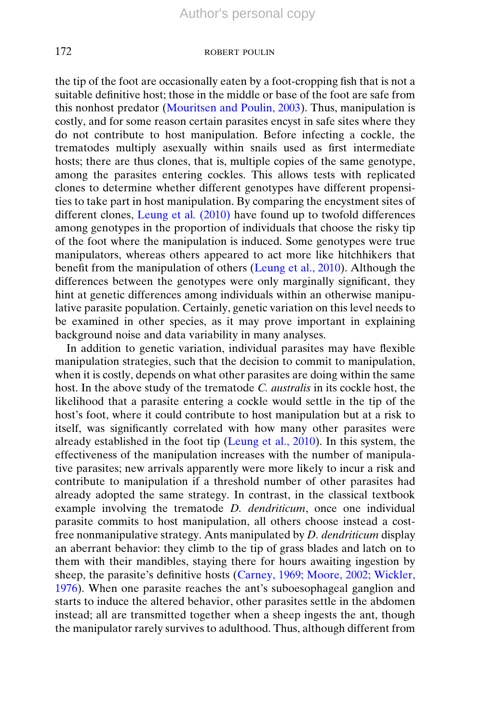the tip of the foot are occasionally eaten by a foot-cropping fish that is not a suitable definitive host; those in the middle or base of the foot are safe from this nonhost predator [\(Mouritsen and Poulin, 2003](#page-34-0)). Thus, manipulation is costly, and for some reason certain parasites encyst in safe sites where they do not contribute to host manipulation. Before infecting a cockle, the trematodes multiply asexually within snails used as first intermediate hosts; there are thus clones, that is, multiple copies of the same genotype, among the parasites entering cockles. This allows tests with replicated clones to determine whether different genotypes have different propensities to take part in host manipulation. By comparing the encystment sites of different clones, [Leung et al](#page-33-0). (2010) have found up to twofold differences among genotypes in the proportion of individuals that choose the risky tip of the foot where the manipulation is induced. Some genotypes were true manipulators, whereas others appeared to act more like hitchhikers that benefit from the manipulation of others ([Leung et al., 2010](#page-33-0)). Although the differences between the genotypes were only marginally significant, they hint at genetic differences among individuals within an otherwise manipulative parasite population. Certainly, genetic variation on this level needs to be examined in other species, as it may prove important in explaining background noise and data variability in many analyses.

In addition to genetic variation, individual parasites may have flexible manipulation strategies, such that the decision to commit to manipulation, when it is costly, depends on what other parasites are doing within the same host. In the above study of the trematode C. australis in its cockle host, the likelihood that a parasite entering a cockle would settle in the tip of the host's foot, where it could contribute to host manipulation but at a risk to itself, was significantly correlated with how many other parasites were already established in the foot tip [\(Leung et al., 2010\)](#page-33-0). In this system, the effectiveness of the manipulation increases with the number of manipulative parasites; new arrivals apparently were more likely to incur a risk and contribute to manipulation if a threshold number of other parasites had already adopted the same strategy. In contrast, in the classical textbook example involving the trematode *D. dendriticum*, once one individual parasite commits to host manipulation, all others choose instead a costfree nonmanipulative strategy. Ants manipulated by D. dendriticum display an aberrant behavior: they climb to the tip of grass blades and latch on to them with their mandibles, staying there for hours awaiting ingestion by sheep, the parasite's definitive hosts ([Carney, 1969; Moore, 2002; Wickler,](#page-32-0) [1976](#page-32-0)). When one parasite reaches the ant's suboesophageal ganglion and starts to induce the altered behavior, other parasites settle in the abdomen instead; all are transmitted together when a sheep ingests the ant, though the manipulator rarely survives to adulthood. Thus, although different from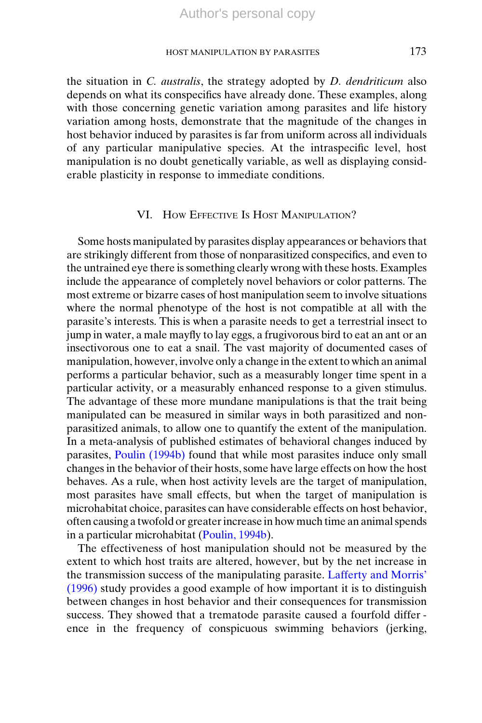the situation in  $C$ . *australis*, the strategy adopted by  $D$ . *dendriticum* also depends on what its conspecifics have already done. These examples, along with those concerning genetic variation among parasites and life history variation among hosts, demonstrate that the magnitude of the changes in host behavior induced by parasites is far from uniform across all individuals of any particular manipulative species. At the intraspecific level, host manipulation is no doubt genetically variable, as well as displaying considerable plasticity in response to immediate conditions.

#### VI. HOW EFFECTIVE IS HOST MANIPULATION?

Some hosts manipulated by parasites display appearances or behaviors that are strikingly different from those of nonparasitized conspecifics, and even to the untrained eye there is something clearly wrong with these hosts. Examples include the appearance of completely novel behaviors or color patterns. The most extreme or bizarre cases of host manipulation seem to involve situations where the normal phenotype of the host is not compatible at all with the parasite's interests. This is when a parasite needs to get a terrestrial insect to jump in water, a male mayfly to lay eggs, a frugivorous bird to eat an ant or an insectivorous one to eat a snail. The vast majority of documented cases of manipulation, however, involve only a change in the extent to which an animal performs a particular behavior, such as a measurably longer time spent in a particular activity, or a measurably enhanced response to a given stimulus. The advantage of these more mundane manipulations is that the trait being manipulated can be measured in similar ways in both parasitized and nonparasitized animals, to allow one to quantify the extent of the manipulation. In a meta-analysis of published estimates of behavioral changes induced by parasites, [Poulin \(1994b\)](#page-34-0) found that while most parasites induce only small changes in the behavior of their hosts, some have large effects on how the host behaves. As a rule, when host activity levels are the target of manipulation, most parasites have small effects, but when the target of manipulation is microhabitat choice, parasites can have considerable effects on host behavior, often causing a twofold or greater increase in how much time an animal spends in a particular microhabitat [\(Poulin, 1994b\)](#page-34-0).

The effectiveness of host manipulation should not be measured by the extent to which host traits are altered, however, but by the net increase in the transmission success of the manipulating parasite. [Lafferty and Morris'](#page-33-0) [\(1996\)](#page-33-0) study provides a good example of how important it is to distinguish between changes in host behavior and their consequences for transmission success. They showed that a trematode parasite caused a fourfold differ ence in the frequency of conspicuous swimming behaviors (jerking,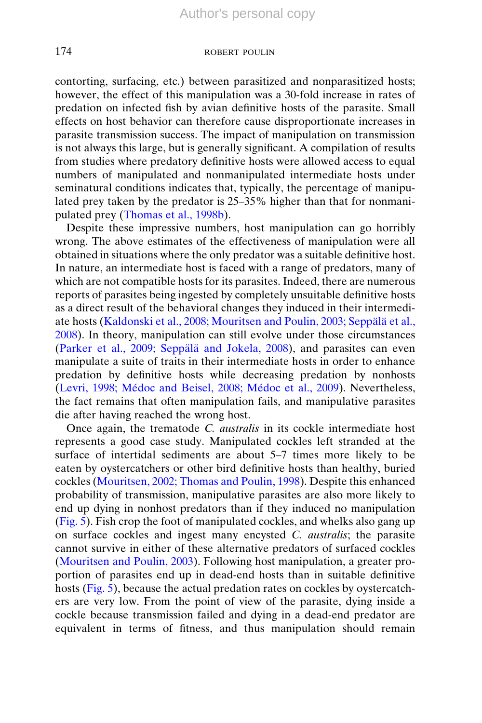contorting, surfacing, etc.) between parasitized and nonparasitized hosts; however, the effect of this manipulation was a 30-fold increase in rates of predation on infected fish by avian definitive hosts of the parasite. Small effects on host behavior can therefore cause disproportionate increases in parasite transmission success. The impact of manipulation on transmission is not always this large, but is generally significant. A compilation of results from studies where predatory definitive hosts were allowed access to equal numbers of manipulated and nonmanipulated intermediate hosts under seminatural conditions indicates that, typically, the percentage of manipulated prey taken by the predator is 25–35% higher than that for nonmanipulated prey ([Thomas et al., 1998b\)](#page-36-0).

Despite these impressive numbers, host manipulation can go horribly wrong. The above estimates of the effectiveness of manipulation were all obtained in situations where the only predator was a suitable definitive host. In nature, an intermediate host is faced with a range of predators, many of which are not compatible hosts for its parasites. Indeed, there are numerous reports of parasites being ingested by completely unsuitable definitive hosts as a direct result of the behavioral changes they induced in their intermediate hosts (Kaldonski et al., 2008; Mouritsen and Poulin, 2003; Seppälä et al., [2008](#page-33-0)). In theory, manipulation can still evolve under those circumstances (Parker et al., 2009; Seppaïla and Jokela, 2008), and parasites can even manipulate a suite of traits in their intermediate hosts in order to enhance predation by definitive hosts while decreasing predation by nonhosts (Levri, 1998; Médoc and Beisel, 2008; Médoc et al., 2009). Nevertheless, the fact remains that often manipulation fails, and manipulative parasites die after having reached the wrong host.

Once again, the trematode C. australis in its cockle intermediate host represents a good case study. Manipulated cockles left stranded at the surface of intertidal sediments are about 5–7 times more likely to be eaten by oystercatchers or other bird definitive hosts than healthy, buried cockles ([Mouritsen, 2002; Thomas and Poulin, 1998\)](#page-34-0). Despite this enhanced probability of transmission, manipulative parasites are also more likely to end up dying in nonhost predators than if they induced no manipulation [\(Fig. 5](#page-25-0)). Fish crop the foot of manipulated cockles, and whelks also gang up on surface cockles and ingest many encysted C. australis; the parasite cannot survive in either of these alternative predators of surfaced cockles [\(Mouritsen and Poulin, 2003](#page-34-0)). Following host manipulation, a greater proportion of parasites end up in dead-end hosts than in suitable definitive hosts ([Fig. 5\)](#page-25-0), because the actual predation rates on cockles by oystercatchers are very low. From the point of view of the parasite, dying inside a cockle because transmission failed and dying in a dead-end predator are equivalent in terms of fitness, and thus manipulation should remain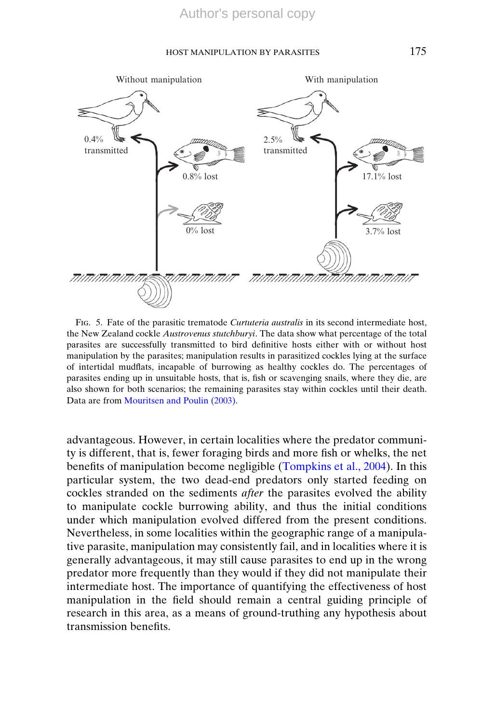<span id="page-25-0"></span>

FIG. 5. Fate of the parasitic trematode Curtuteria australis in its second intermediate host, the New Zealand cockle Austrovenus stutchburyi. The data show what percentage of the total parasites are successfully transmitted to bird definitive hosts either with or without host manipulation by the parasites; manipulation results in parasitized cockles lying at the surface of intertidal mudflats, incapable of burrowing as healthy cockles do. The percentages of parasites ending up in unsuitable hosts, that is, fish or scavenging snails, where they die, are also shown for both scenarios; the remaining parasites stay within cockles until their death. Data are from [Mouritsen and Poulin \(2003\)](#page-34-0).

advantageous. However, in certain localities where the predator community is different, that is, fewer foraging birds and more fish or whelks, the net benefits of manipulation become negligible [\(Tompkins et al., 2004\)](#page-36-0). In this particular system, the two dead-end predators only started feeding on cockles stranded on the sediments after the parasites evolved the ability to manipulate cockle burrowing ability, and thus the initial conditions under which manipulation evolved differed from the present conditions. Nevertheless, in some localities within the geographic range of a manipulative parasite, manipulation may consistently fail, and in localities where it is generally advantageous, it may still cause parasites to end up in the wrong predator more frequently than they would if they did not manipulate their intermediate host. The importance of quantifying the effectiveness of host manipulation in the field should remain a central guiding principle of research in this area, as a means of ground-truthing any hypothesis about transmission benefits.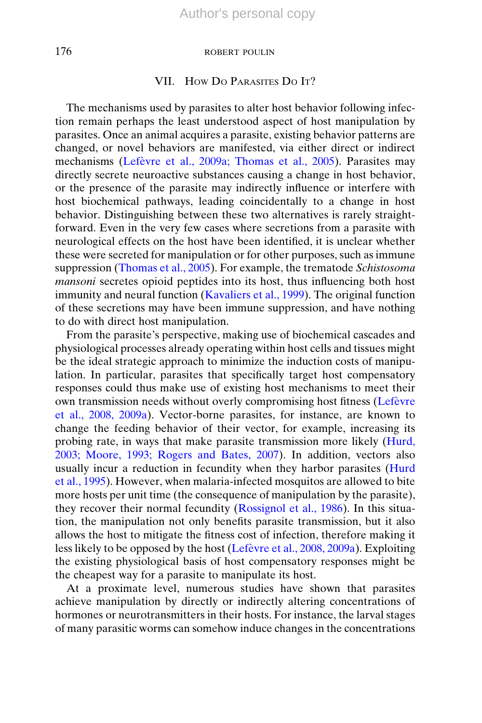#### VII. HOW DO PARASITES DO IT?

The mechanisms used by parasites to alter host behavior following infection remain perhaps the least understood aspect of host manipulation by parasites. Once an animal acquires a parasite, existing behavior patterns are changed, or novel behaviors are manifested, via either direct or indirect mechanisms (Lefèvre et al., 2009a; Thomas et al., 2005). Parasites may directly secrete neuroactive substances causing a change in host behavior, or the presence of the parasite may indirectly influence or interfere with host biochemical pathways, leading coincidentally to a change in host behavior. Distinguishing between these two alternatives is rarely straightforward. Even in the very few cases where secretions from a parasite with neurological effects on the host have been identified, it is unclear whether these were secreted for manipulation or for other purposes, such as immune suppression [\(Thomas et al., 2005\)](#page-36-0). For example, the trematode Schistosoma mansoni secretes opioid peptides into its host, thus influencing both host immunity and neural function ([Kavaliers et al., 1999\)](#page-33-0). The original function of these secretions may have been immune suppression, and have nothing to do with direct host manipulation.

From the parasite's perspective, making use of biochemical cascades and physiological processes already operating within host cells and tissues might be the ideal strategic approach to minimize the induction costs of manipulation. In particular, parasites that specifically target host compensatory responses could thus make use of existing host mechanisms to meet their own transmission needs without overly compromising host fitness (Lefèvre [et al., 2008, 2009a\)](#page-33-0). Vector-borne parasites, for instance, are known to change the feeding behavior of their vector, for example, increasing its probing rate, in ways that make parasite transmission more likely ([Hurd,](#page-32-0) [2003; Moore, 1993; Rogers and Bates, 2007\)](#page-32-0). In addition, vectors also usually incur a reduction in fecundity when they harbor parasites [\(Hurd](#page-32-0) [et al., 1995\)](#page-32-0). However, when malaria-infected mosquitos are allowed to bite more hosts per unit time (the consequence of manipulation by the parasite), they recover their normal fecundity [\(Rossignol et al., 1986](#page-35-0)). In this situation, the manipulation not only benefits parasite transmission, but it also allows the host to mitigate the fitness cost of infection, therefore making it less likely to be opposed by the host (Lefèvre et al., 2008, 2009a). Exploiting the existing physiological basis of host compensatory responses might be the cheapest way for a parasite to manipulate its host.

At a proximate level, numerous studies have shown that parasites achieve manipulation by directly or indirectly altering concentrations of hormones or neurotransmitters in their hosts. For instance, the larval stages of many parasitic worms can somehow induce changes in the concentrations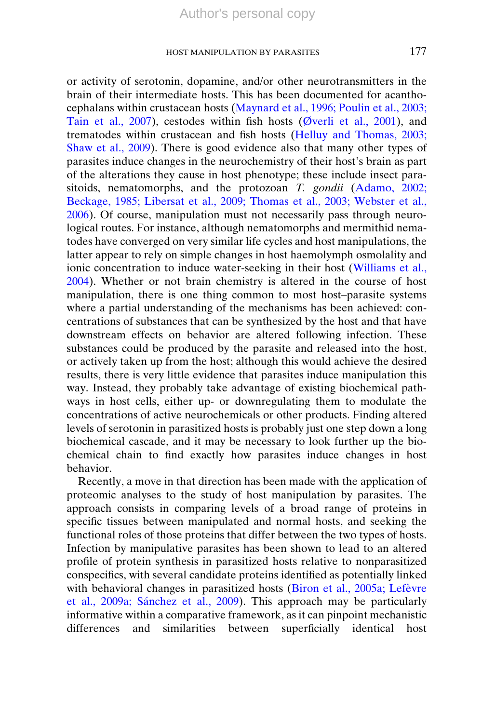or activity of serotonin, dopamine, and/or other neurotransmitters in the brain of their intermediate hosts. This has been documented for acanthocephalans within crustacean hosts ([Maynard et al., 1996; Poulin et al., 2003;](#page-33-0) [Tain et al., 2007\)](#page-33-0), cestodes within fish hosts [\(Øverli et al., 2001](#page-34-0)), and trematodes within crustacean and fish hosts [\(Helluy and Thomas, 2003;](#page-32-0) [Shaw et al., 2009\)](#page-32-0). There is good evidence also that many other types of parasites induce changes in the neurochemistry of their host's brain as part of the alterations they cause in host phenotype; these include insect para-sitoids, nematomorphs, and the protozoan T. gondii [\(Adamo, 2002;](#page-31-0) [Beckage, 1985; Libersat et al., 2009; Thomas et al., 2003; Webster et al.,](#page-31-0) [2006\)](#page-31-0). Of course, manipulation must not necessarily pass through neurological routes. For instance, although nematomorphs and mermithid nematodes have converged on very similar life cycles and host manipulations, the latter appear to rely on simple changes in host haemolymph osmolality and ionic concentration to induce water-seeking in their host [\(Williams et al.,](#page-36-0) [2004\)](#page-36-0). Whether or not brain chemistry is altered in the course of host manipulation, there is one thing common to most host–parasite systems where a partial understanding of the mechanisms has been achieved: concentrations of substances that can be synthesized by the host and that have downstream effects on behavior are altered following infection. These substances could be produced by the parasite and released into the host, or actively taken up from the host; although this would achieve the desired results, there is very little evidence that parasites induce manipulation this way. Instead, they probably take advantage of existing biochemical pathways in host cells, either up- or downregulating them to modulate the concentrations of active neurochemicals or other products. Finding altered levels of serotonin in parasitized hosts is probably just one step down a long biochemical cascade, and it may be necessary to look further up the biochemical chain to find exactly how parasites induce changes in host behavior.

Recently, a move in that direction has been made with the application of proteomic analyses to the study of host manipulation by parasites. The approach consists in comparing levels of a broad range of proteins in specific tissues between manipulated and normal hosts, and seeking the functional roles of those proteins that differ between the two types of hosts. Infection by manipulative parasites has been shown to lead to an altered profile of protein synthesis in parasitized hosts relative to nonparasitized conspecifics, with several candidate proteins identified as potentially linked with behavioral changes in parasitized hosts (Biron et al., 2005a; Lefèvre et al., 2009a; Sánchez et al., 2009). This approach may be particularly informative within a comparative framework, as it can pinpoint mechanistic differences and similarities between superficially identical host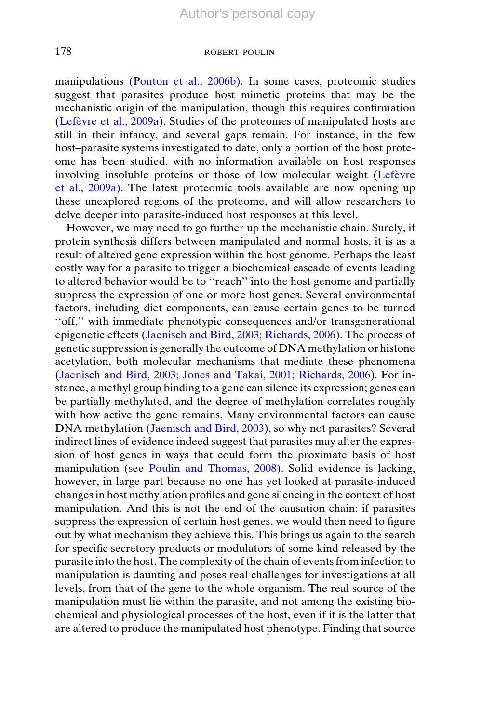manipulations [\(Ponton et al., 2006b\)](#page-34-0). In some cases, proteomic studies suggest that parasites produce host mimetic proteins that may be the mechanistic origin of the manipulation, though this requires confirmation (Lefèvre et al.,  $2009a$ ). Studies of the proteomes of manipulated hosts are still in their infancy, and several gaps remain. For instance, in the few host–parasite systems investigated to date, only a portion of the host proteome has been studied, with no information available on host responses involving insoluble proteins or those of low molecular weight (Lefevre [et al., 2009a](#page-33-0)). The latest proteomic tools available are now opening up these unexplored regions of the proteome, and will allow researchers to delve deeper into parasite-induced host responses at this level.

However, we may need to go further up the mechanistic chain. Surely, if protein synthesis differs between manipulated and normal hosts, it is as a result of altered gene expression within the host genome. Perhaps the least costly way for a parasite to trigger a biochemical cascade of events leading to altered behavior would be to ''reach'' into the host genome and partially suppress the expression of one or more host genes. Several environmental factors, including diet components, can cause certain genes to be turned ''off,'' with immediate phenotypic consequences and/or transgenerational epigenetic effects ([Jaenisch and Bird, 2003; Richards, 2006\)](#page-32-0). The process of genetic suppression is generally the outcome of DNA methylation or histone acetylation, both molecular mechanisms that mediate these phenomena [\(Jaenisch and Bird, 2003; Jones and Takai, 2001; Richards, 2006\)](#page-32-0). For instance, a methyl group binding to a gene can silence its expression; genes can be partially methylated, and the degree of methylation correlates roughly with how active the gene remains. Many environmental factors can cause DNA methylation ([Jaenisch and Bird, 2003\)](#page-32-0), so why not parasites? Several indirect lines of evidence indeed suggest that parasites may alter the expression of host genes in ways that could form the proximate basis of host manipulation (see [Poulin and Thomas, 2008\)](#page-35-0). Solid evidence is lacking, however, in large part because no one has yet looked at parasite-induced changes in host methylation profiles and gene silencing in the context of host manipulation. And this is not the end of the causation chain: if parasites suppress the expression of certain host genes, we would then need to figure out by what mechanism they achieve this. This brings us again to the search for specific secretory products or modulators of some kind released by the parasite into the host. The complexity of the chain of events from infection to manipulation is daunting and poses real challenges for investigations at all levels, from that of the gene to the whole organism. The real source of the manipulation must lie within the parasite, and not among the existing biochemical and physiological processes of the host, even if it is the latter that are altered to produce the manipulated host phenotype. Finding that source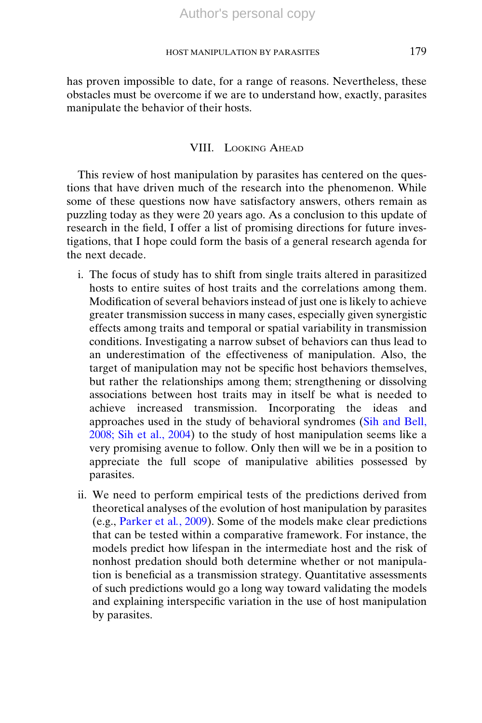has proven impossible to date, for a range of reasons. Nevertheless, these obstacles must be overcome if we are to understand how, exactly, parasites manipulate the behavior of their hosts.

#### VIII. LOOKING AHEAD

This review of host manipulation by parasites has centered on the questions that have driven much of the research into the phenomenon. While some of these questions now have satisfactory answers, others remain as puzzling today as they were 20 years ago. As a conclusion to this update of research in the field, I offer a list of promising directions for future investigations, that I hope could form the basis of a general research agenda for the next decade.

- i. The focus of study has to shift from single traits altered in parasitized hosts to entire suites of host traits and the correlations among them. Modification of several behaviors instead of just one is likely to achieve greater transmission success in many cases, especially given synergistic effects among traits and temporal or spatial variability in transmission conditions. Investigating a narrow subset of behaviors can thus lead to an underestimation of the effectiveness of manipulation. Also, the target of manipulation may not be specific host behaviors themselves, but rather the relationships among them; strengthening or dissolving associations between host traits may in itself be what is needed to achieve increased transmission. Incorporating the ideas and approaches used in the study of behavioral syndromes ([Sih and Bell,](#page-35-0) [2008; Sih et al., 2004\)](#page-35-0) to the study of host manipulation seems like a very promising avenue to follow. Only then will we be in a position to appreciate the full scope of manipulative abilities possessed by parasites.
- ii. We need to perform empirical tests of the predictions derived from theoretical analyses of the evolution of host manipulation by parasites (e.g., [Parker et al](#page-34-0)., 2009). Some of the models make clear predictions that can be tested within a comparative framework. For instance, the models predict how lifespan in the intermediate host and the risk of nonhost predation should both determine whether or not manipulation is beneficial as a transmission strategy. Quantitative assessments of such predictions would go a long way toward validating the models and explaining interspecific variation in the use of host manipulation by parasites.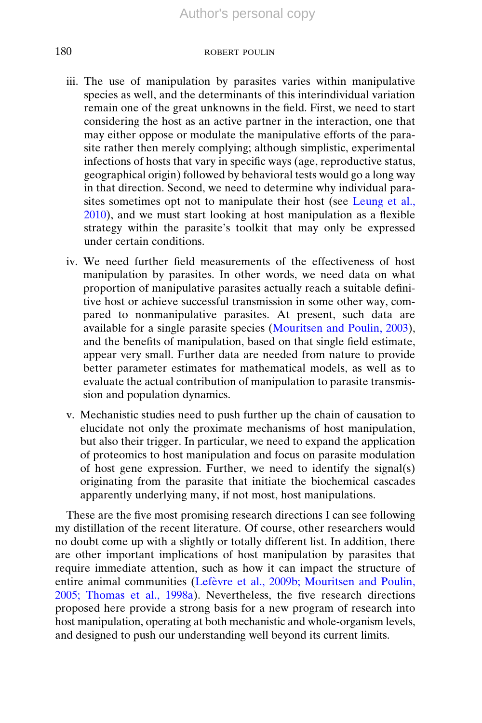- iii. The use of manipulation by parasites varies within manipulative species as well, and the determinants of this interindividual variation remain one of the great unknowns in the field. First, we need to start considering the host as an active partner in the interaction, one that may either oppose or modulate the manipulative efforts of the parasite rather then merely complying; although simplistic, experimental infections of hosts that vary in specific ways (age, reproductive status, geographical origin) followed by behavioral tests would go a long way in that direction. Second, we need to determine why individual parasites sometimes opt not to manipulate their host (see [Leung et al.,](#page-33-0) [2010](#page-33-0)), and we must start looking at host manipulation as a flexible strategy within the parasite's toolkit that may only be expressed under certain conditions.
- iv. We need further field measurements of the effectiveness of host manipulation by parasites. In other words, we need data on what proportion of manipulative parasites actually reach a suitable definitive host or achieve successful transmission in some other way, compared to nonmanipulative parasites. At present, such data are available for a single parasite species [\(Mouritsen and Poulin, 2003\)](#page-34-0), and the benefits of manipulation, based on that single field estimate, appear very small. Further data are needed from nature to provide better parameter estimates for mathematical models, as well as to evaluate the actual contribution of manipulation to parasite transmission and population dynamics.
- v. Mechanistic studies need to push further up the chain of causation to elucidate not only the proximate mechanisms of host manipulation, but also their trigger. In particular, we need to expand the application of proteomics to host manipulation and focus on parasite modulation of host gene expression. Further, we need to identify the signal(s) originating from the parasite that initiate the biochemical cascades apparently underlying many, if not most, host manipulations.

These are the five most promising research directions I can see following my distillation of the recent literature. Of course, other researchers would no doubt come up with a slightly or totally different list. In addition, there are other important implications of host manipulation by parasites that require immediate attention, such as how it can impact the structure of entire animal communities (Lefèvre et al., 2009b; Mouritsen and Poulin, [2005; Thomas et al., 1998a](#page-33-0)). Nevertheless, the five research directions proposed here provide a strong basis for a new program of research into host manipulation, operating at both mechanistic and whole-organism levels, and designed to push our understanding well beyond its current limits.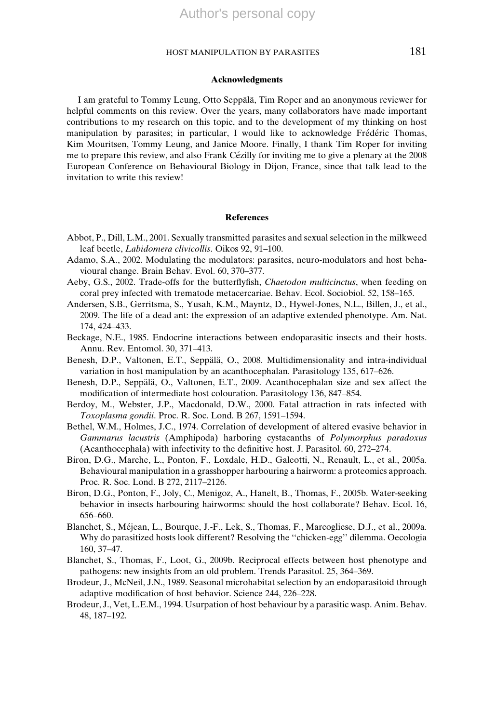#### Acknowledgments

<span id="page-31-0"></span>I am grateful to Tommy Leung, Otto Seppalä, Tim Roper and an anonymous reviewer for helpful comments on this review. Over the years, many collaborators have made important contributions to my research on this topic, and to the development of my thinking on host manipulation by parasites; in particular, I would like to acknowledge Frédéric Thomas, Kim Mouritsen, Tommy Leung, and Janice Moore. Finally, I thank Tim Roper for inviting me to prepare this review, and also Frank Cézilly for inviting me to give a plenary at the 2008 European Conference on Behavioural Biology in Dijon, France, since that talk lead to the invitation to write this review!

#### **References**

- Abbot, P., Dill, L.M., 2001. Sexually transmitted parasites and sexual selection in the milkweed leaf beetle, Labidomera clivicollis. Oikos 92, 91–100.
- Adamo, S.A., 2002. Modulating the modulators: parasites, neuro-modulators and host behavioural change. Brain Behav. Evol. 60, 370–377.
- Aeby, G.S., 2002. Trade-offs for the butterflyfish, Chaetodon multicinctus, when feeding on coral prey infected with trematode metacercariae. Behav. Ecol. Sociobiol. 52, 158–165.
- Andersen, S.B., Gerritsma, S., Yusah, K.M., Mayntz, D., Hywel-Jones, N.L., Billen, J., et al., 2009. The life of a dead ant: the expression of an adaptive extended phenotype. Am. Nat. 174, 424–433.
- Beckage, N.E., 1985. Endocrine interactions between endoparasitic insects and their hosts. Annu. Rev. Entomol. 30, 371–413.
- Benesh, D.P., Valtonen, E.T., Seppälä, O., 2008. Multidimensionality and intra-individual variation in host manipulation by an acanthocephalan. Parasitology 135, 617–626.
- Benesh, D.P., Seppälä, O., Valtonen, E.T., 2009. Acanthocephalan size and sex affect the modification of intermediate host colouration. Parasitology 136, 847–854.
- Berdoy, M., Webster, J.P., Macdonald, D.W., 2000. Fatal attraction in rats infected with Toxoplasma gondii. Proc. R. Soc. Lond. B 267, 1591–1594.
- Bethel, W.M., Holmes, J.C., 1974. Correlation of development of altered evasive behavior in Gammarus lacustris (Amphipoda) harboring cystacanths of Polymorphus paradoxus (Acanthocephala) with infectivity to the definitive host. J. Parasitol. 60, 272–274.
- Biron, D.G., Marche, L., Ponton, F., Loxdale, H.D., Galeotti, N., Renault, L., et al., 2005a. Behavioural manipulation in a grasshopper harbouring a hairworm: a proteomics approach. Proc. R. Soc. Lond. B 272, 2117–2126.
- Biron, D.G., Ponton, F., Joly, C., Menigoz, A., Hanelt, B., Thomas, F., 2005b. Water-seeking behavior in insects harbouring hairworms: should the host collaborate? Behav. Ecol. 16, 656–660.
- Blanchet, S., Méjean, L., Bourque, J.-F., Lek, S., Thomas, F., Marcogliese, D.J., et al., 2009a. Why do parasitized hosts look different? Resolving the ''chicken-egg'' dilemma. Oecologia 160, 37–47.
- Blanchet, S., Thomas, F., Loot, G., 2009b. Reciprocal effects between host phenotype and pathogens: new insights from an old problem. Trends Parasitol. 25, 364–369.
- Brodeur, J., McNeil, J.N., 1989. Seasonal microhabitat selection by an endoparasitoid through adaptive modification of host behavior. Science 244, 226–228.
- Brodeur, J., Vet, L.E.M., 1994. Usurpation of host behaviour by a parasitic wasp. Anim. Behav. 48, 187–192.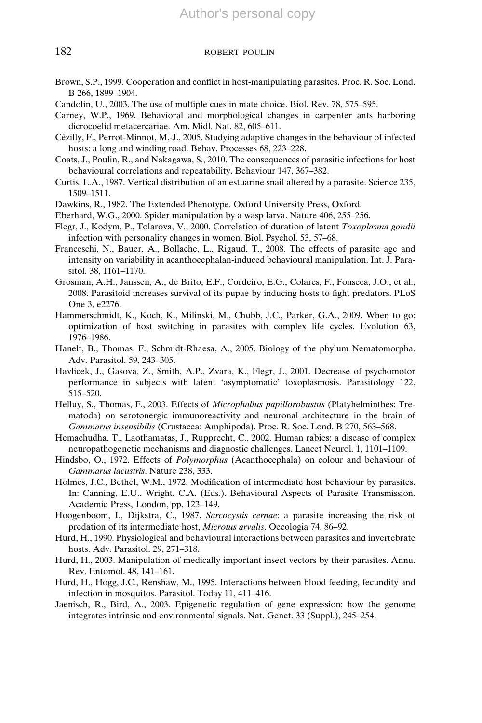- <span id="page-32-0"></span>Brown, S.P., 1999. Cooperation and conflict in host-manipulating parasites. Proc. R. Soc. Lond. B 266, 1899–1904.
- Candolin, U., 2003. The use of multiple cues in mate choice. Biol. Rev. 78, 575–595.

Carney, W.P., 1969. Behavioral and morphological changes in carpenter ants harboring dicrocoelid metacercariae. Am. Midl. Nat. 82, 605–611.

Cézilly, F., Perrot-Minnot, M.-J., 2005. Studying adaptive changes in the behaviour of infected hosts: a long and winding road. Behav. Processes 68, 223–228.

Coats, J., Poulin, R., and Nakagawa, S., 2010. The consequences of parasitic infections for host behavioural correlations and repeatability. Behaviour 147, 367–382.

Curtis, L.A., 1987. Vertical distribution of an estuarine snail altered by a parasite. Science 235, 1509–1511.

Dawkins, R., 1982. The Extended Phenotype. Oxford University Press, Oxford.

Eberhard, W.G., 2000. Spider manipulation by a wasp larva. Nature 406, 255–256.

Flegr, J., Kodym, P., Tolarova, V., 2000. Correlation of duration of latent Toxoplasma gondii infection with personality changes in women. Biol. Psychol. 53, 57–68.

Franceschi, N., Bauer, A., Bollache, L., Rigaud, T., 2008. The effects of parasite age and intensity on variability in acanthocephalan-induced behavioural manipulation. Int. J. Parasitol. 38, 1161–1170.

Grosman, A.H., Janssen, A., de Brito, E.F., Cordeiro, E.G., Colares, F., Fonseca, J.O., et al., 2008. Parasitoid increases survival of its pupae by inducing hosts to fight predators. PLoS One 3, e2276.

Hammerschmidt, K., Koch, K., Milinski, M., Chubb, J.C., Parker, G.A., 2009. When to go: optimization of host switching in parasites with complex life cycles. Evolution 63, 1976–1986.

Hanelt, B., Thomas, F., Schmidt-Rhaesa, A., 2005. Biology of the phylum Nematomorpha. Adv. Parasitol. 59, 243–305.

Havlicek, J., Gasova, Z., Smith, A.P., Zvara, K., Flegr, J., 2001. Decrease of psychomotor performance in subjects with latent 'asymptomatic' toxoplasmosis. Parasitology 122, 515–520.

Helluy, S., Thomas, F., 2003. Effects of *Microphallus papillorobustus* (Platyhelminthes: Trematoda) on serotonergic immunoreactivity and neuronal architecture in the brain of Gammarus insensibilis (Crustacea: Amphipoda). Proc. R. Soc. Lond. B 270, 563–568.

Hemachudha, T., Laothamatas, J., Rupprecht, C., 2002. Human rabies: a disease of complex neuropathogenetic mechanisms and diagnostic challenges. Lancet Neurol. 1, 1101–1109.

Hindsbo, O., 1972. Effects of Polymorphus (Acanthocephala) on colour and behaviour of Gammarus lacustris. Nature 238, 333.

Holmes, J.C., Bethel, W.M., 1972. Modification of intermediate host behaviour by parasites. In: Canning, E.U., Wright, C.A. (Eds.), Behavioural Aspects of Parasite Transmission. Academic Press, London, pp. 123–149.

Hoogenboom, I., Dijkstra, C., 1987. Sarcocystis cernae: a parasite increasing the risk of predation of its intermediate host, Microtus arvalis. Oecologia 74, 86–92.

Hurd, H., 1990. Physiological and behavioural interactions between parasites and invertebrate hosts. Adv. Parasitol. 29, 271–318.

Hurd, H., 2003. Manipulation of medically important insect vectors by their parasites. Annu. Rev. Entomol. 48, 141–161.

Hurd, H., Hogg, J.C., Renshaw, M., 1995. Interactions between blood feeding, fecundity and infection in mosquitos. Parasitol. Today 11, 411–416.

Jaenisch, R., Bird, A., 2003. Epigenetic regulation of gene expression: how the genome integrates intrinsic and environmental signals. Nat. Genet. 33 (Suppl.), 245–254.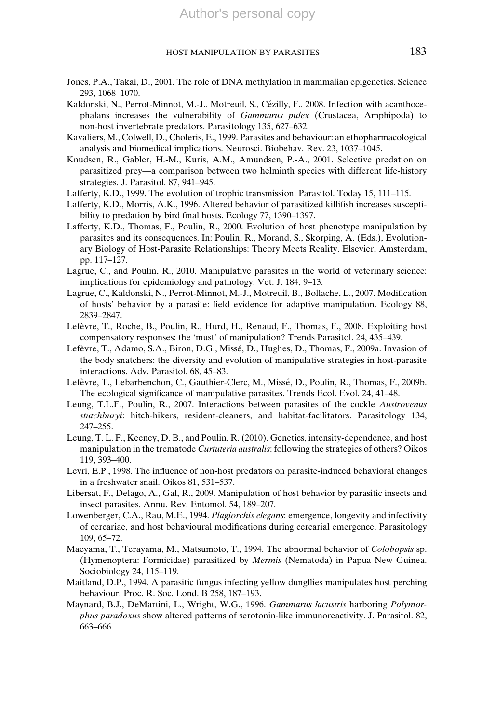- <span id="page-33-0"></span>Jones, P.A., Takai, D., 2001. The role of DNA methylation in mammalian epigenetics. Science 293, 1068–1070.
- Kaldonski, N., Perrot-Minnot, M.-J., Motreuil, S., Cézilly, F., 2008. Infection with acanthocephalans increases the vulnerability of Gammarus pulex (Crustacea, Amphipoda) to non-host invertebrate predators. Parasitology 135, 627–632.
- Kavaliers, M., Colwell, D., Choleris, E., 1999. Parasites and behaviour: an ethopharmacological analysis and biomedical implications. Neurosci. Biobehav. Rev. 23, 1037–1045.
- Knudsen, R., Gabler, H.-M., Kuris, A.M., Amundsen, P.-A., 2001. Selective predation on parasitized prey—a comparison between two helminth species with different life-history strategies. J. Parasitol. 87, 941–945.
- Lafferty, K.D., 1999. The evolution of trophic transmission. Parasitol. Today 15, 111–115.
- Lafferty, K.D., Morris, A.K., 1996. Altered behavior of parasitized killifish increases susceptibility to predation by bird final hosts. Ecology 77, 1390–1397.
- Lafferty, K.D., Thomas, F., Poulin, R., 2000. Evolution of host phenotype manipulation by parasites and its consequences. In: Poulin, R., Morand, S., Skorping, A. (Eds.), Evolutionary Biology of Host-Parasite Relationships: Theory Meets Reality. Elsevier, Amsterdam, pp. 117–127.
- Lagrue, C., and Poulin, R., 2010. Manipulative parasites in the world of veterinary science: implications for epidemiology and pathology. Vet. J. 184, 9–13.
- Lagrue, C., Kaldonski, N., Perrot-Minnot, M.-J., Motreuil, B., Bollache, L., 2007. Modification of hosts' behavior by a parasite: field evidence for adaptive manipulation. Ecology 88, 2839–2847.
- Lefèvre, T., Roche, B., Poulin, R., Hurd, H., Renaud, F., Thomas, F., 2008. Exploiting host compensatory responses: the 'must' of manipulation? Trends Parasitol. 24, 435–439.
- Lefèvre, T., Adamo, S.A., Biron, D.G., Missé, D., Hughes, D., Thomas, F., 2009a. Invasion of the body snatchers: the diversity and evolution of manipulative strategies in host-parasite interactions. Adv. Parasitol. 68, 45–83.
- Lefèvre, T., Lebarbenchon, C., Gauthier-Clerc, M., Missé, D., Poulin, R., Thomas, F., 2009b. The ecological significance of manipulative parasites. Trends Ecol. Evol. 24, 41–48.
- Leung, T.L.F., Poulin, R., 2007. Interactions between parasites of the cockle Austrovenus stutchburyi: hitch-hikers, resident-cleaners, and habitat-facilitators. Parasitology 134, 247–255.
- Leung, T. L. F., Keeney, D. B., and Poulin, R. (2010). Genetics, intensity-dependence, and host manipulation in the trematode Curtuteria australis: following the strategies of others? Oikos 119, 393–400.
- Levri, E.P., 1998. The influence of non-host predators on parasite-induced behavioral changes in a freshwater snail. Oikos 81, 531–537.
- Libersat, F., Delago, A., Gal, R., 2009. Manipulation of host behavior by parasitic insects and insect parasites. Annu. Rev. Entomol. 54, 189–207.
- Lowenberger, C.A., Rau, M.E., 1994. Plagiorchis elegans: emergence, longevity and infectivity of cercariae, and host behavioural modifications during cercarial emergence. Parasitology 109, 65–72.
- Maeyama, T., Terayama, M., Matsumoto, T., 1994. The abnormal behavior of *Colobopsis* sp. (Hymenoptera: Formicidae) parasitized by Mermis (Nematoda) in Papua New Guinea. Sociobiology 24, 115–119.
- Maitland, D.P., 1994. A parasitic fungus infecting yellow dungflies manipulates host perching behaviour. Proc. R. Soc. Lond. B 258, 187–193.
- Maynard, B.J., DeMartini, L., Wright, W.G., 1996. Gammarus lacustris harboring Polymorphus paradoxus show altered patterns of serotonin-like immunoreactivity. J. Parasitol. 82, 663–666.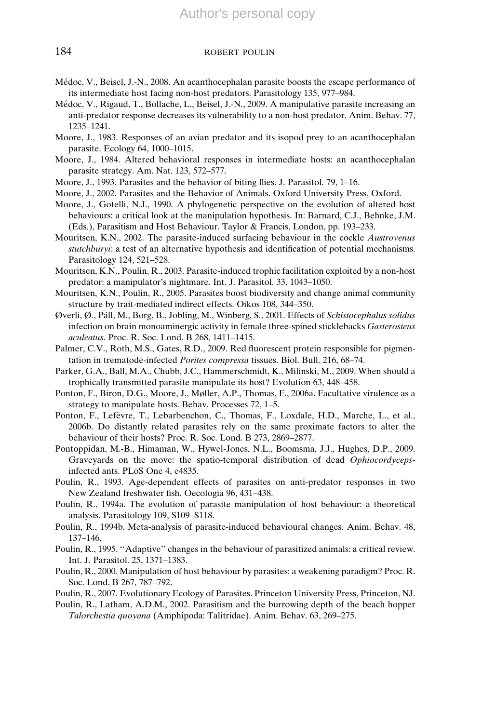- <span id="page-34-0"></span>Médoc, V., Beisel, J.-N., 2008. An acanthocephalan parasite boosts the escape performance of its intermediate host facing non-host predators. Parasitology 135, 977–984.
- Médoc, V., Rigaud, T., Bollache, L., Beisel, J.-N., 2009. A manipulative parasite increasing an anti-predator response decreases its vulnerability to a non-host predator. Anim. Behav. 77, 1235–1241.
- Moore, J., 1983. Responses of an avian predator and its isopod prey to an acanthocephalan parasite. Ecology 64, 1000–1015.
- Moore, J., 1984. Altered behavioral responses in intermediate hosts: an acanthocephalan parasite strategy. Am. Nat. 123, 572–577.
- Moore, J., 1993. Parasites and the behavior of biting flies. J. Parasitol. 79, 1–16.
- Moore, J., 2002. Parasites and the Behavior of Animals. Oxford University Press, Oxford.
- Moore, J., Gotelli, N.J., 1990. A phylogenetic perspective on the evolution of altered host behaviours: a critical look at the manipulation hypothesis. In: Barnard, C.J., Behnke, J.M. (Eds.), Parasitism and Host Behaviour. Taylor & Francis, London, pp. 193–233.
- Mouritsen, K.N., 2002. The parasite-induced surfacing behaviour in the cockle *Austrovenus* stutchburyi: a test of an alternative hypothesis and identification of potential mechanisms. Parasitology 124, 521–528.
- Mouritsen, K.N., Poulin, R., 2003. Parasite-induced trophic facilitation exploited by a non-host predator: a manipulator's nightmare. Int. J. Parasitol. 33, 1043–1050.
- Mouritsen, K.N., Poulin, R., 2005. Parasites boost biodiversity and change animal community structure by trait-mediated indirect effects. Oikos 108, 344–350.
- Øverli, Ø., Páll, M., Borg, B., Jobling, M., Winberg, S., 2001. Effects of Schistocephalus solidus infection on brain monoaminergic activity in female three-spined sticklebacks Gasterosteus aculeatus. Proc. R. Soc. Lond. B 268, 1411–1415.
- Palmer, C.V., Roth, M.S., Gates, R.D., 2009. Red fluorescent protein responsible for pigmentation in trematode-infected Porites compressa tissues. Biol. Bull. 216, 68–74.
- Parker, G.A., Ball, M.A., Chubb, J.C., Hammerschmidt, K., Milinski, M., 2009. When should a trophically transmitted parasite manipulate its host? Evolution 63, 448–458.
- Ponton, F., Biron, D.G., Moore, J., Møller, A.P., Thomas, F., 2006a. Facultative virulence as a strategy to manipulate hosts. Behav. Processes 72, 1–5.
- Ponton, F., Lefèvre, T., Lebarbenchon, C., Thomas, F., Loxdale, H.D., Marche, L., et al., 2006b. Do distantly related parasites rely on the same proximate factors to alter the behaviour of their hosts? Proc. R. Soc. Lond. B 273, 2869–2877.
- Pontoppidan, M.-B., Himaman, W., Hywel-Jones, N.L., Boomsma, J.J., Hughes, D.P., 2009. Graveyards on the move: the spatio-temporal distribution of dead Ophiocordycepsinfected ants. PLoS One 4, e4835.
- Poulin, R., 1993. Age-dependent effects of parasites on anti-predator responses in two New Zealand freshwater fish. Oecologia 96, 431–438.
- Poulin, R., 1994a. The evolution of parasite manipulation of host behaviour: a theoretical analysis. Parasitology 109, S109–S118.
- Poulin, R., 1994b. Meta-analysis of parasite-induced behavioural changes. Anim. Behav. 48, 137–146.
- Poulin, R., 1995. ''Adaptive'' changes in the behaviour of parasitized animals: a critical review. Int. J. Parasitol. 25, 1371–1383.
- Poulin, R., 2000. Manipulation of host behaviour by parasites: a weakening paradigm? Proc. R. Soc. Lond. B 267, 787–792.
- Poulin, R., 2007. Evolutionary Ecology of Parasites. Princeton University Press, Princeton, NJ.
- Poulin, R., Latham, A.D.M., 2002. Parasitism and the burrowing depth of the beach hopper Talorchestia quoyana (Amphipoda: Talitridae). Anim. Behav. 63, 269–275.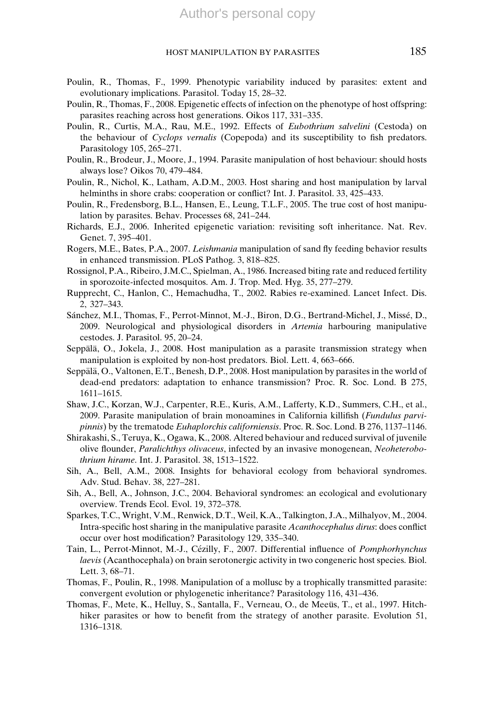- <span id="page-35-0"></span>Poulin, R., Thomas, F., 1999. Phenotypic variability induced by parasites: extent and evolutionary implications. Parasitol. Today 15, 28–32.
- Poulin, R., Thomas, F., 2008. Epigenetic effects of infection on the phenotype of host offspring: parasites reaching across host generations. Oikos 117, 331–335.
- Poulin, R., Curtis, M.A., Rau, M.E., 1992. Effects of *Eubothrium salvelini* (Cestoda) on the behaviour of Cyclops vernalis (Copepoda) and its susceptibility to fish predators. Parasitology 105, 265–271.
- Poulin, R., Brodeur, J., Moore, J., 1994. Parasite manipulation of host behaviour: should hosts always lose? Oikos 70, 479–484.
- Poulin, R., Nichol, K., Latham, A.D.M., 2003. Host sharing and host manipulation by larval helminths in shore crabs: cooperation or conflict? Int. J. Parasitol. 33, 425–433.
- Poulin, R., Fredensborg, B.L., Hansen, E., Leung, T.L.F., 2005. The true cost of host manipulation by parasites. Behav. Processes 68, 241–244.
- Richards, E.J., 2006. Inherited epigenetic variation: revisiting soft inheritance. Nat. Rev. Genet. 7, 395–401.
- Rogers, M.E., Bates, P.A., 2007. Leishmania manipulation of sand fly feeding behavior results in enhanced transmission. PLoS Pathog. 3, 818–825.
- Rossignol, P.A., Ribeiro, J.M.C., Spielman, A., 1986. Increased biting rate and reduced fertility in sporozoite-infected mosquitos. Am. J. Trop. Med. Hyg. 35, 277–279.
- Rupprecht, C., Hanlon, C., Hemachudha, T., 2002. Rabies re-examined. Lancet Infect. Dis. 2, 327–343.
- Sánchez, M.I., Thomas, F., Perrot-Minnot, M.-J., Biron, D.G., Bertrand-Michel, J., Missé, D., 2009. Neurological and physiological disorders in Artemia harbouring manipulative cestodes. J. Parasitol. 95, 20–24.
- Seppala, O., Jokela, J., 2008. Host manipulation as a parasite transmission strategy when manipulation is exploited by non-host predators. Biol. Lett. 4, 663–666.
- Seppalä, O., Valtonen, E.T., Benesh, D.P., 2008. Host manipulation by parasites in the world of dead-end predators: adaptation to enhance transmission? Proc. R. Soc. Lond. B 275, 1611–1615.
- Shaw, J.C., Korzan, W.J., Carpenter, R.E., Kuris, A.M., Lafferty, K.D., Summers, C.H., et al., 2009. Parasite manipulation of brain monoamines in California killifish (Fundulus parvipinnis) by the trematode Euhaplorchis californiensis. Proc. R. Soc. Lond. B 276, 1137–1146.
- Shirakashi, S., Teruya, K., Ogawa, K., 2008. Altered behaviour and reduced survival of juvenile olive flounder, Paralichthys olivaceus, infected by an invasive monogenean, Neoheterobothrium hirame. Int. J. Parasitol. 38, 1513–1522.
- Sih, A., Bell, A.M., 2008. Insights for behavioral ecology from behavioral syndromes. Adv. Stud. Behav. 38, 227–281.
- Sih, A., Bell, A., Johnson, J.C., 2004. Behavioral syndromes: an ecological and evolutionary overview. Trends Ecol. Evol. 19, 372–378.
- Sparkes, T.C., Wright, V.M., Renwick, D.T., Weil, K.A., Talkington, J.A., Milhalyov, M., 2004. Intra-specific host sharing in the manipulative parasite Acanthocephalus dirus: does conflict occur over host modification? Parasitology 129, 335–340.
- Tain, L., Perrot-Minnot, M.-J., Cézilly, F., 2007. Differential influence of *Pomphorhynchus* laevis (Acanthocephala) on brain serotonergic activity in two congeneric host species. Biol. Lett. 3, 68–71.
- Thomas, F., Poulin, R., 1998. Manipulation of a mollusc by a trophically transmitted parasite: convergent evolution or phylogenetic inheritance? Parasitology 116, 431–436.
- Thomas, F., Mete, K., Helluy, S., Santalla, F., Verneau, O., de Meeüs, T., et al., 1997. Hitchhiker parasites or how to benefit from the strategy of another parasite. Evolution 51, 1316–1318.